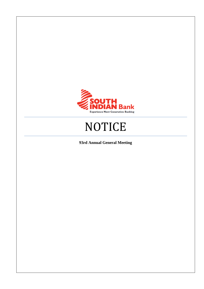

# **NOTICE**

**93rd Annual General Meeting**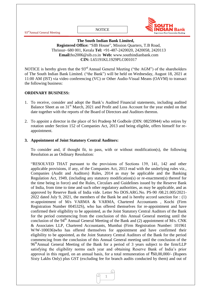

**The South Indian Bank Limited, Registered Office:** "SIB House", Mission Quarters, T.B Road, Thrissur- 680 001, Kerala **Tel:** +91-487-2420020, 2420058, 2420113 **Email:**[ho2006@sib.co.in](mailto:ho2006@sib.co.in) **Web:** www.southindianbank.com **CIN:** L65191KL1929PLC001017

NOTICE is hereby given that the 93<sup>rd</sup> Annual General Meeting ("the AGM") of the shareholders of The South Indian Bank Limited. ("the Bank") will be held on Wednesday, August 18, 2021 at 11:00 AM (IST) via video conferencing (VC) or Other Audio-Visual Means (OAVM) to transact the following business:

# **ORDINARY BUSINESS:**

- 1. To receive, consider and adopt the Bank"s Audited Financial statements, including audited Balance Sheet as on 31<sup>st</sup> March, 2021 and Profit and Loss Account for the year ended on that date together with the reports of the Board of Directors and Auditors thereon.
- 2. To appoint a director in the place of Sri Pradeep M Godbole (DIN: 08259944) who retires by rotation under Section 152 of Companies Act, 2013 and being eligible, offers himself for reappointment.

#### **3. Appointment of Joint Statutory Central Auditors:**

To consider and, if thought fit, to pass, with or without modification(s), the following Resolution as an Ordinary Resolution:

"RESOLVED THAT pursuant to the provisions of Sections 139, 141, 142 and other applicable provisions, if any, of the Companies Act, 2013 read with the underlying rules viz., Companies (Audit and Auditors) Rules, 2014 as may be applicable and the Banking Regulation Act, 1949, (including any statutory modification(s) or re-enactment(s) thereof for the time being in force) and the Rules, Circulars and Guidelines issued by the Reserve Bank of India, from time to time and such other regulatory authorities, as may be applicable, and as approved by Reserve Bank of India vide. Letter No DOS.ARG.No. PS-90 /08.21.005/2021- 2022 dated July 9, 2021, the members of the Bank be and is hereby accord sanction for : (1) re-appointment of M/s VARMA & VARMA, Chartered Accountants , Kochi (Firm Registration Number 004532S), who has offered themselves for re-appointment and have confirmed their eligibility to be appointed, as the Joint Statutory Central Auditors of the Bank for the period commencing from the conclusion of this Annual General meeting until the conclusion of the 94<sup>th</sup> Annual General Meeting of the Bank and (2) appointment of M/s. CNK & Associates LLP, Chartered Accountants, Mumbai (Firm Registration Number: 101961 W/W-100036)who has offered themselves for appointment and have confirmed their eligibility to be appointed, as the Joint Statutory Central Auditors of the Bank for the period commencing from the conclusion of this Annual General meeting until the conclusion of the 96<sup>th</sup>Annual General Meeting of the Bank for a period of 3 years subject to the firm/LLP satisfying the eligibility norms each year and obtaining Reserve Bank of India"s prior approval in this regard, on an annual basis, for a total remuneration of  $\text{\textless}60,00,000/$ - (Rupees Sixty Lakhs Only) plus GST (excluding fee for branch audits conducted by them) and out of

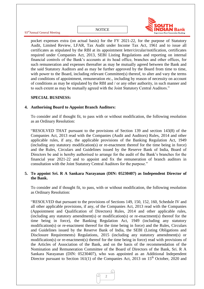

pocket expenses extra (on actual basis) for the FY 2021-22, for the purpose of Statutory Audit, Limited Review, LFAR, Tax Audit under Income Tax Act, 1961 and to issue all certificates as stipulated by the RBI at its appointment letter/circular/notification, certificates required under Companies Act, 2013, SEBI Listing Regulations and reporting on internal financial controls of the Bank"s accounts at its head office, branches and other offices, for such remuneration and expenses thereafter as may be mutually agreed between the Bank and the said Statutory Auditors and as may be further approved by the Board from time to time, with power to the Board, including relevant Committee(s) thereof, to alter and vary the terms and conditions of appointment, remuneration etc., including by reason of necessity on account of conditions as may be stipulated by the RBI and / or any other authority, in such manner and to such extent as may be mutually agreed with the Joint Statutory Central Auditors."

#### **SPECIAL BUSINESS:**

#### **4. Authorising Board to Appoint Branch Auditors:**

To consider and if thought fit, to pass with or without modification, the following resolution as an Ordinary Resolution:

"RESOLVED THAT pursuant to the provisions of Section 139 and section 143(8) of the Companies Act, 2013 read with the Companies (Audit and Auditors) Rules, 2014 and other applicable rules, if any, the applicable provisions of the Banking Regulation Act, 1949 (including any statutory modification(s) or re-enactment thereof for the time being in force) and the Rules, Circulars and Guidelines issued by the Reserve Bank of India, Board of Directors be and is hereby authorised to arrange for the audit of the Bank"s branches for the financial year 2021-22 and to appoint and fix the remuneration of branch auditors in consultation with the Joint Statutory Central Auditors for the purpose."

#### **5. To appoint Sri. R A Sankara Narayanan (DIN: 05230407) as Independent Director of the Bank.**

To consider and if thought fit, to pass, with or without modification, the following resolution as Ordinary Resolution:

"RESOLVED that pursuant to the provisions of Sections 149, 150, 152, 160, Schedule IV and all other applicable provisions, if any, of the Companies Act, 2013 read with the Companies (Appointment and Qualification of Directors) Rules, 2014 and other applicable rules, (including any statutory amendment(s) or modification(s) or re-enactment(s) thereof for the time being in force), the Banking Regulation Act, 1949 (including any statutory modification(s) or re-enactment thereof for the time being in force) and the Rules, Circulars and Guidelines issued by the Reserve Bank of India, the SEBI (Listing Obligations and Disclosure Requirements) Regulations, 2015 (including any statutory amendment(s) or modification(s) or re-enactment(s) thereof for the time being in force) read with provisions of the Articles of Association of the Bank, and on the basis of the recommendation of the Nomination and Remuneration Committee of the Board of Directors of the Bank, Sri. R A Sankara Narayanan (DIN: 05230407), who was appointed as an Additional Independent Director pursuant to Section 161(1) of the Companies Act, 2013 on  $15<sup>th</sup>$  October, 2020 and

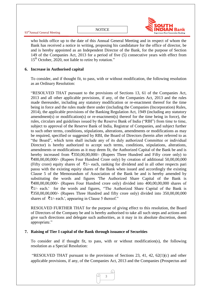

who holds office up to the date of this Annual General Meeting and in respect of whom the Bank has received a notice in writing, proposing his candidature for the office of director, be and is hereby appointed as an Independent Director of the Bank, for the purpose of Section 149 of the Companies Act, 2013 for a period of five (5) consecutive years with effect from 15<sup>th</sup> October, 2020, not liable to retire by rotation."

# **6. Increase in Authorised capital**

To consider, and if thought fit, to pass, with or without modification, the following resolution as an Ordinary Resolution:

"RESOLVED THAT pursuant to the provisions of Sections 13, 61 of the Companies Act, 2013 and all other applicable provisions, if any, of the Companies Act, 2013 and the rules made thereunder, including any statutory modification or re-enactment thereof for the time being in force and the rules made there under (including the Companies (Incorporation) Rules, 2014), the applicable provisions of the Banking Regulation Act, 1949 (including any statutory amendment(s) or modification(s) or re-enactment(s) thereof for the time being in force), the rules, circulars and guidelines issued by the Reserve Bank of India ("RBI") from time to time, subject to approval of the Reserve Bank of India, Registrar of Companies, and subject further to such other terms, conditions, stipulations, alterations, amendments or modifications as may be required, specified or suggested by RBI, the Board of Directors (herein after referred to as "the Board", which term shall include any of its duly authorized Committee or individual Director) is hereby authorized to accept such terms, conditions, stipulations, alterations, amendments or modifications as it may deem fit, the Authorized Capital of the Bank be and is hereby increased from  $\overline{350,00,00,000}$  (Rupees Three Hundred and Fifty crore only) to  $\text{\textsterling}400,00,00,000/$ - (Rupees Four Hundred Crore only) by creation of additional 50,00,00,000 (Fifty crore) equity shares of  $\bar{\tau}$ 1/- each, ranking for dividend and in all other respects pari passu with the existing equity shares of the Bank when issued and accordingly the existing Clause 5 of the Memorandum of Association of the Bank be and is hereby amended by substituting the words and figures 'The Authorized Share Capital of the Bank is  $\text{\textsterling}400,00,00,000/$ - (Rupees Four Hundred crore only) divided into 400,00,00,000 shares of  $\bar{z}$ 1/- each.' for the words and figures, "The Authorized Share Capital of the Bank is  $\overline{\mathcal{F}}$ 350,00,00,000/- (Rupees Three Hundred and fifty crore only) divided into 350,00,00,000 shares of  $\bar{\tau}$ 1/- each.', appearing in Clause 5 thereof."

RESOLVED FURTHER THAT for the purpose of giving effect to this resolution, the Board of Directors of the Company be and is hereby authorised to take all such steps and actions and give such directions and delegate such authorities, as it may in its absolute discretion, deem appropriate."

#### **7. Raising of Tier I capital of the Bank through issuance of Securities**

To consider and if thought fit, to pass, with or without modification(s), the following resolution as a Special Resolution:

"RESOLVED THAT pursuant to the provisions of Sections 23, 41, 42,  $62(1)(c)$  and other applicable provisions, if any, of the Companies Act, 2013 and the Companies (Prospectus and

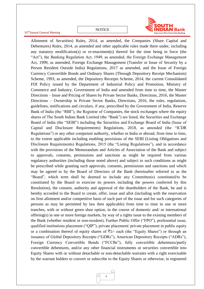**NOTICE** 



Allotment of Securities) Rules, 2014, as amended, the Companies (Share Capital and Debentures) Rules, 2014, as amended and other applicable rules made there under, including any statutory modification(s) or re-enactment(s) thereof for the time being in force (the "Act"), the Banking Regulation Act, 1949, as amended, the Foreign Exchange Management Act, 1999, as amended, Foreign Exchange Management (Transfer or Issue of Security by a Person Resident Outside India) Regulations, 2017 as amended, and the Issue of Foreign Currency Convertible Bonds and Ordinary Shares (Through Depository Receipt Mechanism) Scheme, 1993, as amended, the Depository Receipts Scheme, 2014, the current Consolidated FDI Policy issued by the Department of Industrial Policy and Promotion, Ministry of Commerce and Industry, Government of India and amended from time to time, the Master Directions – Issue and Pricing of Shares by Private Sector Banks, Directions, 2016, the Master Directions – Ownership in Private Sector Banks, Directions, 2016, the rules, regulations, guidelines, notifications and circulars, if any, prescribed by the Government of India, Reserve Bank of India (the "RBI"), the Registrar of Companies, the stock exchanges where the equity shares of The South Indian Bank Limited (the "Bank") are listed, the Securities and Exchange Board of India (the "SEBI") including the Securities and Exchange Board of India (Issue of Capital and Disclosure Requirements) Regulations, 2018, as amended (the "ICDR Regulations") or any other competent authority, whether in India or abroad, from time to time, to the extent applicable including enabling provisions of the SEBI (Listing Obligations and Disclosure Requirements) Regulations, 2015 (the "Listing Regulations"), and in accordance with the provisions of the Memorandum and Articles of Association of the Bank and subject to approvals, consents, permissions and sanctions as might be required from various regulatory authorities (including those noted above) and subject to such conditions as might be prescribed while granting such approvals, consents, permissions and sanctions and which may be agreed to by the Board of Directors of the Bank (hereinafter referred to as the "Board", which term shall be deemed to include any Committee(s) constituted/to be constituted by the Board to exercise its powers including the powers conferred by this Resolution), the consent, authority and approval of the shareholders of the Bank, be and is hereby accorded to the Board to create, offer, issue and allot (including with the reservation on firm allotment and/or competitive basis of such part of the issue and for such categories of persons as may be permitted by law then applicable) from time to time in one or more tranches, with or without green shoe option, in the course of domestic and/ or international offering(s) in one or more foreign markets, by way of a rights issue to the existing members of the Bank (whether resident or non-resident), Further Public Offer ("FPO"), preferential issue, qualified institutions placement ("QIP"), private placement/ private placement in public equity or a combination thereof of equity shares of  $\bar{\tau}$ 1/- each (the "Equity Shares") or through an issuance of Global Depository Receipts ("GDRs"), American Depository Receipts ("ADRs"), Foreign Currency Convertible Bonds ("FCCBs"), fully convertible debentures/partly convertible debentures, and/or any other financial instruments or securities convertible into Equity Shares with or without detachable or non-detachable warrants with a right exercisable by the warrant holders to convert or subscribe to the Equity Shares or otherwise, in registered

![](_page_4_Picture_4.jpeg)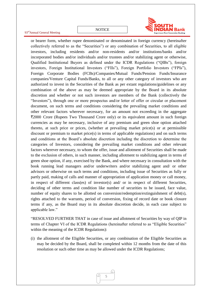![](_page_5_Picture_1.jpeg)

93rdAnnual General Meeting

or bearer form, whether rupee denominated or denominated in foreign currency (hereinafter collectively referred to as the "Securities") or any combination of Securities, to all eligible investors, including residents and/or non-residents and/or institutions/banks and/or incorporated bodies and/or individuals and/or trustees and/or stabilizing agent or otherwise, Qualified Institutional Buyers as defined under the ICDR Regulations ("QIBs"), foreign investors, Foreign Institutional Investors ("FIIs"), Foreign Portfolio Investors ("FPIs"), Foreign Corporate Bodies (FCBs)/Companies/Mutual Funds/Pension Funds/Insurance companies/Venture Capital Funds/Banks, to all or any other category of investors who are authorized to invest in the Securities of the Bank as per extant regulations/guidelines or any combination of the above as may be deemed appropriate by the Board in its absolute discretion and whether or not such investors are members of the Bank (collectively the "Investors"), through one or more prospectus and/or letter of offer or circular or placement document, on such terms and conditions considering the prevailing market conditions and other relevant factors wherever necessary, for an amount not exceeding in the aggregate `2000 Crore (Rupees Two Thousand Crore only) or its equivalent amount in such foreign currencies as may be necessary, inclusive of any premium and green shoe option attached thereto, at such price or prices, (whether at prevailing market price(s) or at permissible discount or premium to market price(s) in terms of applicable regulations) and on such terms and conditions at the Board"s absolute discretion including the discretion to determine the categories of Investors, considering the prevailing market conditions and other relevant factors wherever necessary, to whom the offer, issue and allotment of Securities shall be made to the exclusion of others, in such manner, including allotment to stabilizing agent in terms of green shoe option, if any, exercised by the Bank, and where necessary in consultation with the book running lead managers and/or underwriters and/or stabilizing agent and/ or other advisors or otherwise on such terms and conditions, including issue of Securities as fully or partly paid, making of calls and manner of appropriation of application money or call money, in respect of different class(es) of investor(s) and/ or in respect of different Securities, deciding of other terms and condition like number of securities to be issued, face value, number of equity shares to be allotted on conversion/redemption/extinguishment of debt(s), rights attached to the warrants, period of conversion, fixing of record date or book closure terms if any, as the Board may in its absolute discretion decide, in each case subject to applicable law."

"RESOLVED FURTHER THAT in case of issue and allotment of Securities by way of QIP in terms of Chapter VI of the ICDR Regulations (hereinafter referred to as "Eligible Securities" within the meaning of the ICDR Regulations):

(i) the allotment of the Eligible Securities, or any combination of the Eligible Securities as may be decided by the Board, shall be completed within 12 months from the date of this resolution or such other time as may be allowed under the ICDR Regulations;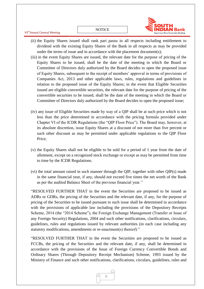![](_page_6_Picture_1.jpeg)

- 93rdAnnual General Meeting
	- (ii) the Equity Shares issued shall rank pari passu in all respects including entitlement to dividend with the existing Equity Shares of the Bank in all respects as may be provided under the terms of issue and in accordance with the placement document(s);
	- (iii) in the event Equity Shares are issued, the relevant date for the purpose of pricing of the Equity Shares to be issued, shall be the date of the meeting in which the Board or Committee of Directors duly authorized by the Board decides to open the proposed issue of Equity Shares, subsequent to the receipt of members" approval in terms of provisions of Companies Act, 2013 and other applicable laws, rules, regulations and guidelines in relation to the proposed issue of the Equity Shares; in the event that Eligible Securities issued are eligible convertible securities, the relevant date for the purpose of pricing of the convertible securities to be issued, shall be the date of the meeting in which the Board or Committee of Directors duly authorized by the Board decides to open the proposed issue;
	- (iv) any issue of Eligible Securities made by way of a QIP shall be at such price which is not less than the price determined in accordance with the pricing formula provided under Chapter VI of the ICDR Regulations (the "QIP Floor Price"). The Board may, however, at its absolute discretion, issue Equity Shares at a discount of not more than five percent or such other discount as may be permitted under applicable regulations to the QIP Floor Price;
	- (v) the Equity Shares shall not be eligible to be sold for a period of 1 year from the date of allotment, except on a recognized stock exchange or except as may be permitted from time to time by the ICDR Regulations.
	- (vi) the total amount raised in such manner through the QIP, together with other QIP(s) made in the same financial year, if any, should not exceed five times the net worth of the Bank as per the audited Balance Sheet of the previous financial year."

"RESOLVED FURTHER THAT in the event the Securities are proposed to be issued as ADRs or GDRs, the pricing of the Securities and the relevant date, if any, for the purpose of pricing of the Securities to be issued pursuant to such issue shall be determined in accordance with the provisions of applicable law including the provisions of the Depository Receipts Scheme, 2014 (the "2014 Scheme"), the Foreign Exchange Management (Transfer or Issue of any Foreign Security) Regulations, 2004 and such other notifications, clarifications, circulars, guidelines, rules and regulations issued by relevant authorities (in each case including any statutory modifications, amendments or re-enactment(s) thereof)."

"RESOLVED FURTHER THAT in the event the Securities are proposed to be issued as FCCBs, the pricing of the Securities and the relevant date, if any, shall be determined in accordance with the provisions of the Issue of Foreign Currency Convertible Bonds and Ordinary Shares (Through Depository Receipt Mechanism) Scheme, 1993 issued by the Ministry of Finance and such other notifications, clarifications, circulars, guidelines, rules and

![](_page_6_Picture_10.jpeg)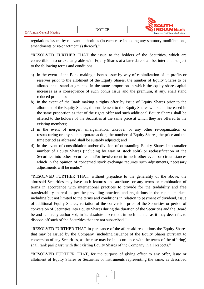![](_page_7_Picture_2.jpeg)

regulations issued by relevant authorities (in each case including any statutory modifications, amendments or re-enactment(s) thereof)."

"RESOLVED FURTHER THAT the issue to the holders of the Securities, which are convertible into or exchangeable with Equity Shares at a later date shall be, inter alia, subject to the following terms and conditions:

- a) in the event of the Bank making a bonus issue by way of capitalization of its profits or reserves prior to the allotment of the Equity Shares, the number of Equity Shares to be allotted shall stand augmented in the same proportion in which the equity share capital increases as a consequence of such bonus issue and the premium, if any, shall stand reduced pro tanto;
- b) in the event of the Bank making a rights offer by issue of Equity Shares prior to the allotment of the Equity Shares, the entitlement to the Equity Shares will stand increased in the same proportion as that of the rights offer and such additional Equity Shares shall be offered to the holders of the Securities at the same price at which they are offered to the existing members;
- c) in the event of merger, amalgamation, takeover or any other re-organization or restructuring or any such corporate action, the number of Equity Shares, the price and the time period as aforesaid shall be suitably adjusted; and
- d) in the event of consolidation and/or division of outstanding Equity Shares into smaller number of Equity Shares (including by way of stock split) or reclassification of the Securities into other securities and/or involvement in such other event or circumstances which in the opinion of concerned stock exchange requires such adjustments, necessary adjustments will be made."

"RESOLVED FURTHER THAT, without prejudice to the generality of the above, the aforesaid Securities may have such features and attributes or any terms or combination of terms in accordance with international practices to provide for the tradability and free transferability thereof as per the prevailing practices and regulations in the capital markets including but not limited to the terms and conditions in relation to payment of dividend, issue of additional Equity Shares, variation of the conversion price of the Securities or period of conversion of Securities into Equity Shares during the duration of the Securities and the Board be and is hereby authorized, in its absolute discretion, in such manner as it may deem fit, to dispose-off such of the Securities that are not subscribed."

"RESOLVED FURTHER THAT in pursuance of the aforesaid resolutions the Equity Shares that may be issued by the Company (including issuance of the Equity Shares pursuant to conversion of any Securities, as the case may be in accordance with the terms of the offering) shall rank pari passu with the existing Equity Shares of the Company in all respects."

"RESOLVED FURTHER THAT, for the purpose of giving effect to any offer, issue or allotment of Equity Shares or Securities or instruments representing the same, as described

![](_page_7_Picture_12.jpeg)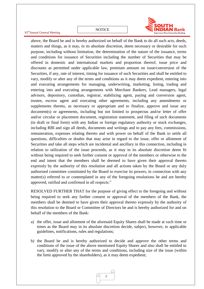![](_page_8_Picture_2.jpeg)

above, the Board be and is hereby authorized on behalf of the Bank to do all such acts, deeds, matters and things, as it may, in its absolute discretion, deem necessary or desirable for such purpose, including without limitation, the determination of the nature of the issuance, terms and conditions for issuance of Securities including the number of Securities that may be offered in domestic and international markets and proportion thereof, issue price and discounts as permitted under applicable law, premium amount on issue/conversion of the Securities, if any, rate of interest, timing for issuance of such Securities and shall be entitled to vary, modify or alter any of the terms and conditions as it may deem expedient, entering into and executing arrangements for managing, underwriting, marketing, listing, trading and entering into and executing arrangements with Merchant Bankers, Lead managers, legal advisors, depository, custodian, registrar, stabilizing agent, paying and conversion agent, trustee, escrow agent and executing other agreements, including any amendments or supplements thereto, as necessary or appropriate and to finalize, approve and issue any document(s) or agreements, including but not limited to prospectus and/or letter of offer and/or circular or placement document, registration statement, and filing of such documents (in draft or final form) with any Indian or foreign regulatory authority or stock exchanges, including RBI and sign all deeds, documents and writings and to pay any fees, commissions, remuneration, expenses relating thereto and with power on behalf of the Bank to settle all questions, difficulties or doubts that may arise in regard to the issue, offer or allotment of Securities and take all steps which are incidental and ancillary in this connection, including in relation to utilization of the issue proceeds, as it may in its absolute discretion deem fit without being required to seek further consent or approval of the members or otherwise to the end and intent that the members shall be deemed to have given their approval thereto expressly by the authority of this resolution and all actions taken by the Board or any duly authorised committee constituted by the Board to exercise its powers, in connection with any matter(s) referred to or contemplated in any of the foregoing resolutions be and are hereby approved, ratified and confirmed in all respects."

RESOLVED FURTHER THAT for the purpose of giving effect to the foregoing and without being required to seek any further consent or approval of the members of the Bank, the members shall be deemed to have given their approval thereto expressly by the authority of this resolution to the Board or Committee of Directors be and is hereby authorized for and on behalf of the members of the Bank:

- a) the offer, issue and allotment of the aforesaid Equity Shares shall be made at such time or times as the Board may in its absolute discretion decide, subject, however, to applicable guidelines, notifications, rules and regulations;
- b) the Board be and is hereby authorized to decide and approve the other terms and conditions of the issue of the above mentioned Equity Shares and also shall be entitled to vary, modify or alter any of the terms and conditions, including size of the issue (within the limit approved by the shareholders), as it may deem expedient;

![](_page_8_Picture_7.jpeg)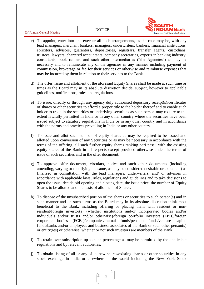#### **NOTICE**

93rdAnnual General Meeting

![](_page_9_Picture_1.jpeg)

- c) To appoint, enter into and execute all such arrangements, as the case may be, with any lead managers, merchant bankers, managers, underwriters, bankers, financial institutions, solicitors, advisors, guarantors, depositories, registrars, transfer agents, custodians, trustees, lawyers, chartered accountants, company secretaries, experts in banking industry, consultants, book runners and such other intermediaries ("the Agencies") as may be necessary and to remunerate any of the agencies in any manner including payment of commission, brokerage or fee for their services or otherwise and reimburse expenses that may be incurred by them in relation to their services to the Bank.
- d) The offer, issue and allotment of the aforesaid Equity Shares shall be made at such time or times as the Board may in its absolute discretion decide, subject, however to applicable guidelines, notifications, rules and regulations.
- e) To issue, directly or through any agency duly authorised depository receipt(s)/certificates of shares or other securities to afford a proper title to the holder thereof and to enable such holder to trade in the securities or underlying securities as such person may require to the extent lawfully permitted in India or in any other country where the securities have been issued subject to statutory regulations in India or in any other country and in accordance with the norms and practices prevailing in India or any other country.
- f) To issue and allot such number of equity shares as may be required to be issued and allotted upon conversion of any Securities or as may be necessary in accordance with the terms of the offering, all such further equity shares ranking pari passu with the existing equity shares of the Bank in all respects except provided otherwise under the terms of issue of such securities and in the offer document.
- g) To approve offer document, circulars, notice and such other documents (including amending, varying or modifying the same, as may be considered desirable or expedient) as finalized in consultation with the lead managers, underwriters, and/ or advisors in accordance with applicable laws, rules, regulations and guidelines and to take decisions to open the issue, decide bid opening and closing date, the issue price, the number of Equity Shares to be allotted and the basis of allotment of Shares.
- h) To dispose of the unsubscribed portion of the shares or securities to such person(s) and in such manner and on such terms as the Board may in its absolute discretion think most beneficial to the Bank, including offering or placing them with resident or nonresident/foreign investor(s) (whether institutions and/or incorporated bodies and/or individuals and/or trusts and/or otherwise)/foreign portfolio investors (FPIs)/foreign corporate bodies (FCBs)/companies/mutual funds/pension funds/venture capital funds/banks and/or employees and business associates of the Bank or such other person(s) or entity(ies) or otherwise, whether or not such investors are members of the Bank.
- i) To retain over subscription up to such percentage as may be permitted by the applicable regulations and by relevant authorities.
- j) To obtain listing of all or any of its new shares/existing shares or other securities in any stock exchange in India or elsewhere in the world including the New York Stock

![](_page_9_Picture_10.jpeg)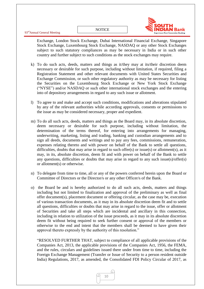93<sup>rd</sup>Annual General Meeting

![](_page_10_Picture_1.jpeg)

Exchange, London Stock Exchange, Dubai International Financial Exchange, Singapore Stock Exchange, Luxembourg Stock Exchange, NASDAQ or any other Stock Exchanges subject to such statutory compliances as may be necessary in India or in such other country and further subject to such conditions as the stock exchanges may require.

- k) To do such acts, deeds, matters and things as it/they may at its/their discretion deem necessary or desirable for such purpose, including without limitation, if required, filing a Registration Statement and other relevant documents with United States Securities and Exchange Commission, or such other regulatory authority as may be necessary for listing the Securities on the Luxembourg Stock Exchange or New York Stock Exchange ("NYSE") and/or NASDAQ or such other international stock exchanges and the entering into of depository arrangements in regard to any such issue or allotment.
- l) To agree to and make and accept such conditions, modifications and alterations stipulated by any of the relevant authorities while according approvals, consents or permissions to the issue as may be considered necessary, proper and expedient.
- m) To do all such acts, deeds, matters and things as the Board may, in its absolute discretion, deem necessary or desirable for such purpose, including without limitation, the determination of the terms thereof, for entering into arrangements for managing, underwriting, marketing, listing and trading, banking and custodian arrangements and to sign all deeds, documents and writings and to pay any fees, commissions, remuneration, expenses relating thereto and with power on behalf of the Bank to settle all questions, difficulties, doubts that may arise in regard to such offer(s) or issue(s) or allotment(s), as it may, in its, absolute discretion, deem fit and with power on behalf of the Bank to settle any questions, difficulties or doubts that may arise in regard to any such issue(s)/offer(s) or allotment(s) or otherwise.
- n) To delegate from time to time, all or any of the powers conferred herein upon the Board or Committee of Directors or the Director/s or any other Officer/s of the Bank.
- o) the Board be and is hereby authorized to do all such acts, deeds, matters and things including but not limited to finalization and approval of the preliminary as well as final offer document(s), placement document or offering circular, as the case may be, execution of various transaction documents, as it may in its absolute discretion deem fit and to settle all questions, difficulties or doubts that may arise in regard to the issue, offer or allotment of Securities and take all steps which are incidental and ancillary in this connection, including in relation to utilization of the issue proceeds, as it may in its absolute discretion deem fit without being required to seek further consent or approval of the members or otherwise to the end and intent that the members shall be deemed to have given their approval thereto expressly by the authority of this resolution."

"RESOLVED FURTHER THAT, subject to compliance of all applicable provisions of the Companies Act, 2013, the applicable provisions of the Companies Act, 1956, the FEMA, and the rules, circulars and guidelines issued there under from time to time, including the Foreign Exchange Management (Transfer or Issue of Security to a person resident outside India) Regulations, 2017, as amended, the Consolidated FDI Policy Circular of 2017, as

![](_page_10_Picture_9.jpeg)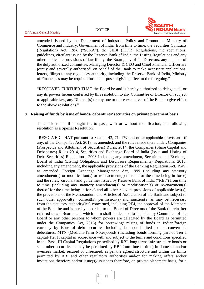![](_page_11_Picture_2.jpeg)

amended, issued by the Department of Industrial Policy and Promotion, Ministry of Commerce and Industry, Government of India, from time to time, the Securities Contracts (Regulation) Act, 1956 ("SCRA"), the SEBI (ICDR) Regulations, the regulations, guidelines, circulars issued by the Reserve Bank of India, the Listing Regulations and any other applicable provisions of law if any, the Board, any of the Directors, any member of the duly authorized committee, Managing Director & CEO and Chief Financial Officer are jointly and severally authorised, on behalf of the Bank to make necessary applications, letters, filings to any regulatory authority, including the Reserve Bank of India, Ministry of Finance, as may be required for the purpose of giving effect to the foregoing."

"RESOLVED FURTHER THAT the Board be and is hereby authorized to delegate all or any its powers herein conferred by this resolution to any Committee of Director or, subject to applicable law, any Director(s) or any one or more executives of the Bank to give effect to the above resolutions."

#### **8. Raising of funds by issue of bonds/ debentures/ securities on private placement basis**

To consider and if thought fit, to pass, with or without modification, the following resolution as a Special Resolution:

"RESOLVED THAT pursuant to Section 42, 71, 179 and other applicable provisions, if any, of the Companies Act, 2013, as amended, and the rules made there under, Companies (Prospectus and Allotment of Securities) Rules, 2014, the Companies (Share Capital and Debentures) Rules 2014, Securities and Exchange Board of India (Issue and Listing of Debt Securities) Regulations, 2008 including any amendment, Securities and Exchange Board of India (Listing Obligations and Disclosure Requirements) Regulations, 2015, including any amendment, the applicable provisions of the Banking Regulation Act, 1949, as amended, Foreign Exchange Management Act, 1999 (including any statutory amendment(s) or modification(s) or re-enactment(s) thereof for the time being in force) and the rules, circulars and guidelines issued by Reserve Bank of India ("RBI") from time to time (including any statutory amendment(s) or modification(s) or re-enactment(s) thereof for the time being in force) and all other relevant provisions of applicable law(s), the provisions of the Memorandum and Articles of Association of the Bank and subject to such other approval(s), consent(s), permission(s) and sanction(s) as may be necessary from the statutory authority(ies) concerned, including RBI, the approval of the Members of the Bank be and is hereby accorded to the Board of Directors of the Bank (hereinafter referred to as "Board" and which term shall be deemed to include any Committee of the Board or any other persons to whom powers are delegated by the Board as permitted under the Companies Act, 2013) for borrowing/ raising of funds in Indian/foreign currency by issue of debt securities including but not limited to non-convertible debentures, MTN (Medium-Term Notes)bonds (including bonds forming part of Tier I capital/Tier II capital in accordance with and subject to the terms and conditions specified in the Basel III Capital Regulations prescribed by RBI, long terms infrastructure bonds or such other securities as may be permitted by RBI from time to time) in domestic and/or overseas market, secured or unsecured, as per the agreed structure and within the limits permitted by RBI and other regulatory authorities and/or for making offers and/or invitations therefore and/or issue(s)/issuances therefore, on private placement basis, for a

![](_page_11_Picture_8.jpeg)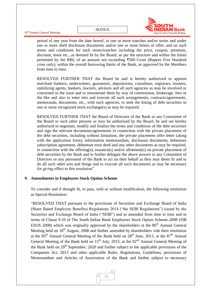![](_page_12_Picture_1.jpeg)

93<sup>rd</sup>Annual General Meeting

period of one year from the date hereof, in one or more tranches and/or series and under one or more shelf disclosure documents and/or one or more letters of offer, and on such terms and conditions for each series/tranches including the price, coupon, premium, discount, tenor etc., as deemed fit by the Board, as per the structure and within the limits permitted by the RBI, of an amount not exceeding  $\overline{500}$  Crore (Rupees Five Hundred crore only), within the overall borrowing limits of the Bank, as approved by the Members from time to time.

RESOLVED FURTHER THAT the Board be and is hereby authorized to appoint merchant bankers, underwriters, guarantors, depositories, custodians, registrars, trustees, stabilizing agents, bankers, lawyers, advisors and all such agencies as may be involved or concerned in the issue and to remunerate them by way of commission, brokerage, fees or the like and also to enter into and execute all such arrangements, contracts/agreements, memoranda, documents, etc., with such agencies, to seek the listing of debt securities in one or more recognized stock exchange(s) as may be required.

RESOLVED FURTHER THAT the Board of Directors of the Bank or any Committee of the Board or such other persons as may be authorized by the Board, be and are hereby authorized to negotiate, modify and finalize the terms and conditions of the debt securities and sign the relevant documents/agreements in connection with the private placement of the debt securities, including without limitation, the private placement offer letter (along with the application form), information memorandum, disclosure documents, debenture subscription agreement, debenture trust deed and any other documents as may be required, in connection with the offering(s), issuance(s) and/or allotment(s) on private placement of debt securities by the Bank and to further delegate the above powers to any Committee of Directors or any personnel of the Bank to act on their behalf as they may deem fit and to do all such other acts and things and to execute all such documents as may be necessary for giving effect to this resolution"

# **9. Amendments in Employees Stock Option Scheme**

To consider and if thought fit, to pass, with or without modification, the following resolution as Special Resolution:

"RESOLVED THAT pursuant to the provisions of Securities and Exchange Board of India (Share Based Employee Benefits) Regulations 2014 ("the SEBI Regulations") issued by the Securities and Exchange Board of India ("SEBI") and as amended from time to time and in terms of Clause 9.10 of The South Indian Bank Employees Stock Option Scheme-2008 (SIB ESOS 2008) which was originally approved by the shareholders at the  $80<sup>th</sup>$  Annual General Meeting held on 18<sup>th</sup> August, 2008 and further amended by shareholders vide their resolution at the  $85<sup>th</sup>$  Annual General Meeting of the Bank held on  $28<sup>th</sup>$  June, 2013, at the  $87<sup>th</sup>$  Annual General Meeting of the Bank held on  $15<sup>th</sup>$  July, 2015, at the  $92<sup>nd</sup>$  Annual General Meeting of the Bank held on  $29<sup>th</sup>$  September, 2020 and further subject to the applicable provisions of the Companies Act, 2013 and other applicable Rules, Regulations, Guidelines, provisions of Memorandum and Articles of Association of the Bank and further subject to necessary

![](_page_12_Picture_9.jpeg)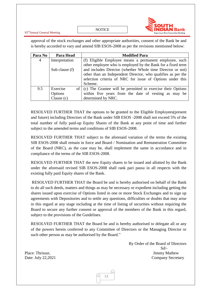93rdAnnual General Meeting

**NOTICE** 

approval of the stock exchanges and other appropriate authorities, consent of the Bank be and is hereby accorded to vary and amend SIB ESOS-2008 as per the revisions mentioned below:

| Para No | Para Head        | <b>Modified Para</b>                                                   |  |  |
|---------|------------------|------------------------------------------------------------------------|--|--|
| 4       | Interpretation   | (f) Eligible Employee means a permanent employee, such                 |  |  |
|         |                  | other employee who is employed by the Bank for a fixed term            |  |  |
|         | Sub clause $(f)$ | and includes Director (whether Whole time Director or not)             |  |  |
|         |                  | other than an Independent Director, who qualifies as per the           |  |  |
|         |                  | selection criteria of NRC for issue of Options under this              |  |  |
|         |                  | Scheme.                                                                |  |  |
| 9.5     | Exercise         | of $\vert$ (c) The Grantee will be permitted to exercise their Options |  |  |
|         | Options          | within five years from the date of vesting as may be                   |  |  |
|         | Clause $(c)$     | determined by NRC.                                                     |  |  |

RESOLVED FURTHER THAT the options to be granted to the Eligible Employees(present and future) including Directors of the Bank under SIB ESOS -2008 shall not exceed 5% of the total number of fully paid-up Equity Shares of the Bank at any point of time and further subject to the amended terms and conditions of SIB ESOS-2008.

RESOLVED FURTHER THAT subject to the aforesaid variation of the terms the existing SIB ESOS-2008 shall remain in force and Board / Nomination and Remuneration Committee of the Board (NRC), as the case may be, shall implement the same in accordance and in compliance of the terms of the SIB ESOS-2008.

RESOLVED FURTHER THAT the new Equity shares to be issued and allotted by the Bank under the aforesaid revised SIB ESOS-2008 shall rank pari passu in all respects with the existing fully paid Equity shares of the Bank.

RESOLVED FURTHER THAT the Board be and is hereby authorised on behalf of the Bank to do all such deeds, matters and things as may be necessary or expedient including getting the shares issued upon exercise of Options listed in one or more Stock Exchanges and to sign up agreements with Depositories and to settle any questions, difficulties or doubts that may arise in this regard at any stage including at the time of listing of securities without requiring the Board to secure any further consent or approval of the members of the Bank in this regard, subject to the provisions of the Guidelines.

RESOLVED FURTHER THAT the Board be and is hereby authorised to delegate all or any of the powers herein conferred to any Committee of Directors or the Managing Director or such other person as may be authorised by the Board."

 By Order of the Board of Directors Sd/- Place: Thrissur, Jimmy Mathew Date: July 22,2021 Company Secretary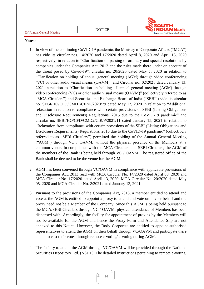**NOTICE** 

![](_page_14_Picture_2.jpeg)

#### **Notes:**

- 1. In view of the continuing CoVID-19 pandemic, the Ministry of Corporate Affairs ("MCA") has vide its circular nos. 14/2020 and 17/2020 dated April 8, 2020 and April 13, 2020 respectively, in relation to "Clarification on passing of ordinary and special resolutions by companies under the Companies Act, 2013 and the rules made there under on account of the threat posed by Covid-19", circular no. 20/2020 dated May 5, 2020 in relation to "Clarification on holding of annual general meeting (AGM) through video conferencing (VC) or other audio visual means (OAVM)" and Circular no. 02/2021 dated January 13, 2021 in relation to "Clarification on holding of annual general meeting (AGM) through video conferencing (VC) or other audio visual means (OAVM)" (collectively referred to as "MCA Circulars") and Securities and Exchange Board of India ("SEBI") vide its circular no. SEBI/HO/CFD/CMD1/CIR/P/2020/79 dated May 12, 2020 in relation to "Additional relaxation in relation to compliance with certain provisions of SEBI (Listing Obligations and Disclosure Requirements) Regulations, 2015 due to the CoVID-19 pandemic" and circular no. SEBI/HO/CFD/CMD2/CIR/P/2021/11 dated January 15, 2021 in relation to "Relaxation from compliance with certain provisions of the SEBI (Listing Obligations and Disclosure Requirements) Regulations, 2015 due to the CoVID-19 pandemic" (collectively referred to as "SEBI Circulars") permitted the holding of the Annual General Meeting ("AGM") through VC / OAVM, without the physical presence of the Members at a common venue. In compliance with the MCA Circulars and SEBI Circulars, the AGM of the members of the Bank is being held through VC / OAVM. The registered office of the Bank shall be deemed to be the venue for the AGM.
- 2. AGM has been convened through VC/OAVM in compliance with applicable provisions of the Companies Act, 2013 read with MCA Circular No. 14/2020 dated April 08, 2020 and MCA Circular No. 17/2020 dated April 13, 2020, MCA Circular No. 20/2020 dated May 05, 2020 and MCA Circular No. 2/2021 dated January 13, 2021.
- 3. Pursuant to the provisions of the Companies Act, 2013, a member entitled to attend and vote at the AGM is entitled to appoint a proxy to attend and vote on his/her behalf and the proxy need not be a Member of the Company. Since this AGM is being held pursuant to the MCA/SEBI Circulars through VC / OAVM, physical attendance of Members has been dispensed with. Accordingly, the facility for appointment of proxies by the Members will not be available for the AGM and hence the Proxy Form and Attendance Slip are not annexed to this Notice. However, the Body Corporate are entitled to appoint authorised representatives to attend the AGM on their behalf through VC/OAVM and participate there at and to cast their votes through remote e-voting/ e-voting during AGM.
- 4. The facility to attend the AGM through VC/OAVM will be provided through the National Securities Depository Ltd. (NSDL). The detailed instructions pertaining to remote e-voting,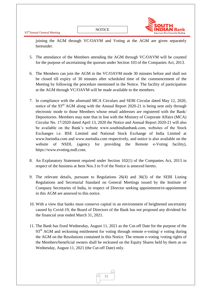![](_page_15_Picture_2.jpeg)

joining the AGM through VC/OAVM and Voting at the AGM are given separately hereunder.

- 5. The attendance of the Members attending the AGM through VC/OAVM will be counted for the purpose of ascertaining the quorum under Section 103 of the Companies Act, 2013.
- 6. The Members can join the AGM in the VC/OAVM mode 30 minutes before and shall not be closed till expiry of 30 minutes after scheduled time of the commencement of the Meeting by following the procedure mentioned in the Notice. The facility of participation at the AGM through VC/OAVM will be made available to the members.
- 7. In compliance with the aforesaid MCA Circulars and SEBI Circular dated May 12, 2020, notice of the 93<sup>rd</sup> AGM along with the Annual Report 2020-21 is being sent only through electronic mode to those Members whose email addresses are registered with the Bank/ Depositories. Members may note that in line with the Ministry of Corporate Affairs (MCA) Circular No. 17/2020 dated April 13, 2020 the Notice and Annual Report 2020-21 will also be available on the Bank"s website www.southindianbank.com, websites of the Stock Exchanges i.e. BSE Limited and National Stock Exchange of India Limited at www.bseindia.com and www.nseindia.com respectively, and notice is also available on the website of NSDL (agency for providing the Remote e-Voting facility), https://www.evoting.nsdl.com.
- 8. An Explanatory Statement required under Section 102(1) of the Companies Act, 2013 in respect of the business at Item Nos.3 to 9 of the Notice is annexed hereto.
- 9. The relevant details, pursuant to Regulations 26(4) and 36(3) of the SEBI Listing Regulations and Secretarial Standard on General Meetings issued by the Institute of Company Secretaries of India, in respect of Director seeking appointment/re-appointment in this AGM are annexed to this notice.
- 10. With a view that banks must conserve capital in an environment of heightened uncertainty caused by Covid-19, the Board of Directors of the Bank has not proposed any dividend for the financial year ended March 31, 2021.
- 11. The Bank has fixed Wednesday, August 11, 2021 as the Cut-off Date for the purpose of the  $93<sup>rd</sup>$  AGM and reckoning entitlement for voting through remote e-voting/ e voting during the AGM on the Resolutions contained in this Notice. The remote e-voting /voting rights of the Members/beneficial owners shall be reckoned on the Equity Shares held by them as on Wednesday, August 11, 2021 (the Cut-off Date) only.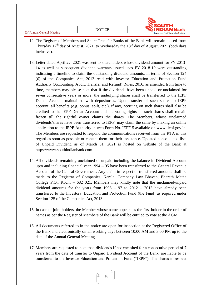93rdAnnual General Meeting

![](_page_16_Picture_2.jpeg)

- 12. The Register of Members and Share Transfer Books of the Bank will remain closed from Thursday  $12<sup>th</sup>$  day of August, 2021, to Wednesday the  $18<sup>th</sup>$  day of August, 2021 (both days inclusive).
- 13. Letter dated April 22, 2021 was sent to shareholders whose dividend amount for FY 2013- 14 as well as subsequent dividend warrants issued upto FY 2018-19 were outstanding indicating a timeline to claim the outstanding dividend amounts. In terms of Section 124 (6) of the Companies Act, 2013 read with Investor Education and Protection Fund Authority (Accounting, Audit, Transfer and Refund) Rules, 2016, as amended from time to time, members may please note that if the dividends have been unpaid or unclaimed for seven consecutive years or more, the underlying shares shall be transferred to the IEPF Demat Account maintained with depositories. Upon transfer of such shares to IEPF account, all benefits (e.g. bonus, spilt, etc.), if any, accruing on such shares shall also be credited to the IEPF Demat Account and the voting rights on such shares shall remain frozen till the rightful owner claims the shares. The Members, whose unclaimed dividends/shares have been transferred to IEPF, may claim the same by making an online application to the IEPF Authority in web Form No. IEPF-5 available on www. iepf.gov.in. The Members are requested to respond the communications received from the RTA in this regard as soon as possible or contact them for their assistance. Updated consolidated lists of Unpaid Dividend as of March 31, 2021 is hosted on website of the Bank at https://www.southindianbank.com.
- 14. All dividends remaining unclaimed or unpaid including the balance in Dividend Account upto and including financial year 1994 – 95 have been transferred to the General Revenue Account of the Central Government. Any claim in respect of transferred amounts shall be made to the Registrar of Companies, Kerala, Company Law Bhavan, Bharath Matha College P.O., Kochi – 682 021. Members may kindly note that the unclaimed/unpaid dividend amounts for the years from  $1996 - 97$  to  $2012 - 2013$  have already been transferred to the Investors" Education and Protection Fund (the Fund) as required under Section 125 of the Companies Act, 2013.
- 15. In case of joint holders, the Member whose name appears as the first holder in the order of names as per the Register of Members of the Bank will be entitled to vote at the AGM.
- 16. All documents referred to in the notice are open for inspection at the Registered Office of the Bank and electronically on all working days between 10.00 AM and 3.00 PM up to the date of the Annual General Meeting.
- 17. Members are requested to note that, dividends if not encashed for a consecutive period of 7 years from the date of transfer to Unpaid Dividend Account of the Bank, are liable to be transferred to the Investor Education and Protection Fund ("IEPF"). The shares in respect

![](_page_16_Picture_9.jpeg)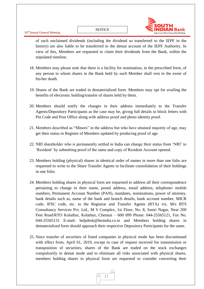![](_page_17_Picture_2.jpeg)

of such unclaimed dividends (including the dividend so transferred to the IEPF in the history) are also liable to be transferred to the demat account of the IEPF Authority. In view of this, Members are requested to claim their dividends from the Bank, within the stipulated timeline.

- 18. Members may please note that there is a facility for nomination, in the prescribed form, of any person to whom shares in the Bank held by such Member shall vest in the event of his/her death.
- 19. Shares of the Bank are traded in dematerialized form. Members may opt for availing the benefits of electronic holding/transfer of shares held by them.
- 20. Members should notify the changes in their address immediately to the Transfer Agents/Depository Participants as the case may be, giving full details in block letters with Pin Code and Post Office along with address proof and photo identity proof.
- 21. Members described as "Minors" in the address but who have attained majority of age, may get their status in Register of Members updated by producing proof of age.
- 22. NRI shareholder who is permanently settled in India can change their status from "NRI" to "Resident" by submitting proof of the same and copy of Resident Account opened.
- 23. Members holding (physical) shares in identical order of names in more than one folio are requested to write to the Share Transfer Agents to facilitate consolidation of their holdings in one folio.
- 24. Members holding shares in physical form are requested to address all their correspondence pertaining to change in their name, postal address, email address, telephone/ mobile numbers, Permanent Account Number (PAN), mandates, nominations, power of attorney, bank details such as, name of the bank and branch details, bank account number, MICR code, IFSC code, etc. to the Registrar and Transfer Agents (RTA) viz. M/s BTS Consultancy Services Pvt. Ltd., M S Complex, 1st Floor, No. 8, Sastri Nagar, Near 200 Feet Road/RTO Kolathur, Kolathur, Chennai – 600 099 Phone: 044-25565121, Fax No. 044-25565131 E-mail: helpdesk@btsindia.co.in and Members holding shares in dematerialized form should approach their respective Depository Participants for the same.
- 25. Since transfer of securities of listed companies in physical mode has been discontinued with effect from, April 01, 2019, except in case of request received for transmission or transposition of securities, shares of the Bank are traded on the stock exchanges compulsorily in demat mode and to eliminate all risks associated with physical shares, members holding shares in physical form are requested to consider converting their

![](_page_17_Picture_12.jpeg)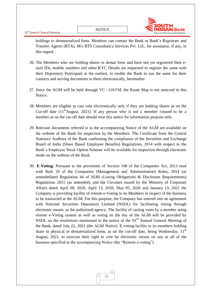![](_page_18_Picture_2.jpeg)

holdings to dematerialized form. Members can contact the Bank or Bank"s Registrars and Transfer Agents (RTA), M/s BTS Consultancy Services Pvt. Ltd., for assistance, if any, in this regard.

- 26. The Members who are holding shares in demat form and have not yet registered their email IDs, mobile numbers and other KYC Details are requested to register the same with their Depository Participant at the earliest, to enable the Bank to use the same for their contacts and serving documents to them electronically, hereinafter.
- 27. Since the AGM will be held through VC / OAVM, the Route Map is not annexed in this Notice.
- 28. Members are eligible to cast vote electronically only if they are holding shares as on the Cut-off date  $(11<sup>th</sup>$ August, 2021). If any person who is not a member /ceased to be a member as on the cut-off date should treat this notice for information purpose only.
- 29. Relevant documents referred to in the accompanying Notice of the AGM are available on the website of the Bank for inspection by the Members. The Certificate from the Central Statutory Auditors of the Bank confirming the compliance of the Securities and Exchange Board of India (Share Based Employee Benefits) Regulations, 2014 with respect to the Bank"s Employee Stock Option Scheme will be available for inspection through electronic mode on the website of the Bank.
- 30. **E-Voting:** Pursuant to the provisions of Section 108 of the Companies Act, 2013 read with Rule 20 of the Companies (Management and Administration) Rules, 2014 (as amended)and Regulation 44 of SEBI (Listing Obligations & Disclosure Requirements) Regulations 2015 (as amended), and the Circulars issued by the Ministry of Corporate Affairs dated April 08, 2020, April 13, 2020, May 05, 2020 and January 13, 2021 the Company is providing facility of remote e-Voting to its Members in respect of the business to be transacted at the AGM. For this purpose, the Company has entered into an agreement with National Securities Depository Limited (NSDL) for facilitating voting through electronic means, as the authorized agency. The facility of casting votes by a member using remote e-Voting system as well as voting on the day of the AGM will be provided by NSDL on the resolutions mentioned in the notice of the  $93<sup>rd</sup>$  Annual General Meeting of the Bank, dated July 22, 2021 (the AGM Notice). E-voting facility to its members holding share in physical or dematerialized form, as on the cut-off date, being Wednesday,  $11<sup>th</sup>$ August, 2021, to exercise their right to vote by electronic means on any or all of the business specified in the accompanying Notice (the "Remote e-voting").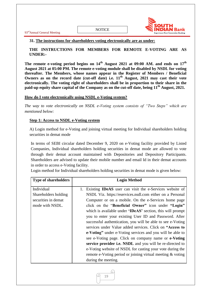![](_page_19_Picture_2.jpeg)

#### **31. The instructions for shareholders voting electronically are as under:**

**THE INSTRUCTIONS FOR MEMBERS FOR REMOTE E-VOTING ARE AS UNDER:-**

**The remote e-voting period begins on 14th August 2021 at 09:00 AM. and ends on 17th August 2021 at 05:00 PM. The remote e-voting module shall be disabled by NSDL for voting thereafter. The Members, whose names appear in the Register of Members / Beneficial Owners as on the record date (cut-off date) i.e. 11th August, 2021 may cast their vote electronically. The voting right of shareholders shall be in proportion to their share in the paid-up equity share capital of the Company as on the cut-off date, being 11th August, 2021.**

#### **How do I vote electronically using NSDL e-Voting system?**

*The way to vote electronically on NSDL e-Voting system consists of "Two Steps" which are mentioned below:*

#### **Step 1: Access to NSDL e-Voting system**

A) Login method for e-Voting and joining virtual meeting for Individual shareholders holding securities in demat mode

In terms of SEBI circular dated December 9, 2020 on e-Voting facility provided by Listed Companies, Individual shareholders holding securities in demat mode are allowed to vote through their demat account maintained with Depositories and Depository Participants. Shareholders are advised to update their mobile number and email Id in their demat accounts in order to access e-Voting facility.

Login method for Individual shareholders holding securities in demat mode is given below:

| <b>Type of shareholders</b>                                                  | <b>Login Method</b>                                                                                                                                                                                                                                                                                                                                                                                                                                                                                                                                                                                                                                                                                                                                |
|------------------------------------------------------------------------------|----------------------------------------------------------------------------------------------------------------------------------------------------------------------------------------------------------------------------------------------------------------------------------------------------------------------------------------------------------------------------------------------------------------------------------------------------------------------------------------------------------------------------------------------------------------------------------------------------------------------------------------------------------------------------------------------------------------------------------------------------|
| Individual<br>Shareholders holding<br>securities in demat<br>mode with NSDL. | Existing <b>IDeAS</b> user can visit the e-Services website of<br>NSDL Viz. https://eservices.nsdl.com either on a Personal<br>Computer or on a mobile. On the e-Services home page<br>click on the "Beneficial Owner" icon under "Login"<br>which is available under <b>'IDeAS'</b> section, this will prompt<br>you to enter your existing User ID and Password. After<br>successful authentication, you will be able to see e-Voting<br>services under Value added services. Click on "Access to<br>e-Voting" under e-Voting services and you will be able to<br>see e-Voting page. Click on company name or e-Voting<br>service provider i.e. NSDL and you will be re-directed to<br>e-Voting website of NSDL for casting your vote during the |
|                                                                              | remote e-Voting period or joining virtual meeting & voting<br>during the meeting.                                                                                                                                                                                                                                                                                                                                                                                                                                                                                                                                                                                                                                                                  |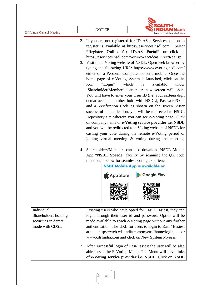| 93 <sup>rd</sup> Annual General Meeting                                     | <b>NOTICE</b>                                                                                                                                                                                                                                                                                                                                                                                                                                                                                                                                                                                                                                                                                                                                                                                                                                                                                                                                                                                                                                                                                                                                                                                                                                                                                                                                                                                              |
|-----------------------------------------------------------------------------|------------------------------------------------------------------------------------------------------------------------------------------------------------------------------------------------------------------------------------------------------------------------------------------------------------------------------------------------------------------------------------------------------------------------------------------------------------------------------------------------------------------------------------------------------------------------------------------------------------------------------------------------------------------------------------------------------------------------------------------------------------------------------------------------------------------------------------------------------------------------------------------------------------------------------------------------------------------------------------------------------------------------------------------------------------------------------------------------------------------------------------------------------------------------------------------------------------------------------------------------------------------------------------------------------------------------------------------------------------------------------------------------------------|
|                                                                             | 2. If you are not registered for IDeAS e-Services, option to<br>register is available at https://eservices.nsdl.com. Select<br>"Register Online for IDeAS Portal" or click at<br>https://eservices.nsdl.com/SecureWeb/IdeasDirectReg.jsp<br>3. Visit the e-Voting website of NSDL. Open web browser by<br>typing the following URL: https://www.evoting.nsdl.com/<br>either on a Personal Computer or on a mobile. Once the<br>home page of e-Voting system is launched, click on the<br>"Login"<br>which<br>available<br>is<br>under<br>icon<br>'Shareholder/Member' section. A new screen will open.<br>You will have to enter your User ID (i.e. your sixteen digit<br>demat account number hold with NSDL), Password/OTP<br>and a Verification Code as shown on the screen. After<br>successful authentication, you will be redirected to NSDL<br>Depository site wherein you can see e-Voting page. Click<br>on company name or e-Voting service provider i.e. NSDL<br>and you will be redirected to e-Voting website of NSDL for<br>casting your vote during the remote e-Voting period or<br>joining virtual meeting & voting during the meeting.<br>Shareholders/Members can also download NSDL Mobile<br>4.<br>App "NSDL Speede" facility by scanning the QR code<br>mentioned below for seamless voting experience.<br><b>NSDL Mobile App is available on</b><br>Google Play<br><b>App Store</b> |
| Individual<br>Shareholders holding<br>securities in demat<br>mode with CDSL | 1. Existing users who have opted for Easi / Easiest, they can<br>login through their user id and password. Option will be<br>made available to reach e-Voting page without any further<br>authentication. The URL for users to login to Easi / Easiest<br>https://web.cdslindia.com/myeasi/home/login<br>are<br><b>or</b><br>www.cdslindia.com and click on New System Myeasi.<br>2. After successful login of Easi/Easiest the user will be also<br>able to see the E Voting Menu. The Menu will have links<br>of e-Voting service provider i.e. NSDL. Click on NSDL                                                                                                                                                                                                                                                                                                                                                                                                                                                                                                                                                                                                                                                                                                                                                                                                                                      |

q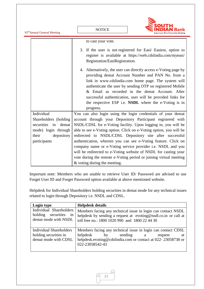93<sup>rd</sup>Annual General Meeting **NOTICE** to cast your vote. 3. If the user is not registered for Easi/ Easiest, option to register is available at [https://web.cdslindia.com/myeasi/](https://web.cdslindia.com/myeasi/Registration/EasiRegistration) [Registration/EasiRegistration](https://web.cdslindia.com/myeasi/Registration/EasiRegistration). 4. Alternatively, the user can directly access e-Voting page by providing demat Account Number and PAN No. from a link in [www.cdslindia.com](http://www.cdslindia.com/) home page. The system will authenticate the user by sending OTP on registered Mobile & Email as recorded in the demat Account. After successful authentication, user will be provided links for the respective ESP i.e. **NSDL** where the e-Voting is in progress. Individual Shareholders (holding securities in demat mode) login through their depository participants You can also login using the login credentials of your demat account through your Depository Participant registered with NSDL/CDSL for e-Voting facility. Upon logging in, you will be able to see e-Voting option. Click on e-Voting option, you will be redirected to NSDL/CDSL Depository site after successful authentication, wherein you can see e-Voting feature. Click on company name or e-Voting service provider i.e. NSDL and you will be redirected to e-Voting website of NSDL for casting your vote during the remote e-Voting period or joining virtual meeting & voting during the meeting.

Important note: Members who are unable to retrieve User ID/ Password are advised to use Forget User ID and Forget Password option available at above mentioned website.

Helpdesk for Individual Shareholders holding securities in demat mode for any technical issues related to login through Depository i.e. NSDL and CDSL.

| Login type                                                                      | <b>Helpdesk details</b>                                                                                                                                                                         |  |
|---------------------------------------------------------------------------------|-------------------------------------------------------------------------------------------------------------------------------------------------------------------------------------------------|--|
| Individual Shareholders<br>holding securities<br>in<br>demat mode with NSDL     | Members facing any technical issue in login can contact NSDL<br>helpdesk by sending a request at evoting@nsdl.co.in or call at<br>toll free no.: 1800 1020 990 and 1800 22 44 30                |  |
| <b>Individual Shareholders</b><br>holding securities in<br>demat mode with CDSL | Members facing any technical issue in login can contact CDSL<br>helpdesk<br>sending a<br>by<br>request<br>at<br>helpdesk.evoting@cdslindia.com or contact at 022-23058738 or<br>022-23058542-43 |  |

![](_page_21_Picture_4.jpeg)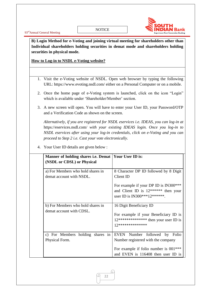![](_page_22_Picture_2.jpeg)

**B) Login Method for e-Voting and joining virtual meeting for shareholders other than Individual shareholders holding securities in demat mode and shareholders holding securities in physical mode.**

#### **How to Log-in to NSDL e-Voting website?**

- 1. Visit the e-Voting website of NSDL. Open web browser by typing the following URL:<https://www.evoting.nsdl.com/> either on a Personal Computer or on a mobile.
- 2. Once the home page of e-Voting system is launched, click on the icon "Login" which is available under 'Shareholder/Member' section.
- 3. A new screen will open. You will have to enter your User ID, your Password/OTP and a Verification Code as shown on the screen.

*Alternatively, if you are registered for NSDL eservices i.e. IDEAS, you can log-in at*  <https://eservices.nsdl.com/> *with your existing IDEAS login. Once you log-in to NSDL eservices after using your log-in credentials, click on e-Voting and you can proceed to Step 2 i.e. Cast your vote electronically.*

| Manner of holding shares <i>i.e.</i> Demat                    | Your User ID is:                                                                                                                                     |
|---------------------------------------------------------------|------------------------------------------------------------------------------------------------------------------------------------------------------|
| (NSDL or CDSL) or Physical                                    |                                                                                                                                                      |
| a) For Members who hold shares in<br>demat account with NSDL. | 8 Character DP ID followed by 8 Digit<br>Client ID                                                                                                   |
|                                                               | For example if your DP ID is IN300***<br>and Client ID is $12******$ then your<br>user ID is IN300***12*******.                                      |
| b) For Members who hold shares in<br>demat account with CDSL. | 16 Digit Beneficiary ID<br>For example if your Beneficiary ID is<br>$12***************$ then your user ID is<br>12 ***************                   |
| c) For Members holding shares in<br>Physical Form.            | EVEN Number followed by Folio<br>Number registered with the company<br>For example if folio number is $001***$<br>and EVEN is 116408 then user ID is |

4. Your User ID details are given below :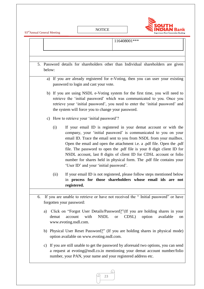93<sup>rd</sup>Annual General Meeting

![](_page_23_Picture_2.jpeg)

|    | 116408001***                                                                                                                                                                                                                                                                                                                                                                                                                                                                                                                                                 |  |  |
|----|--------------------------------------------------------------------------------------------------------------------------------------------------------------------------------------------------------------------------------------------------------------------------------------------------------------------------------------------------------------------------------------------------------------------------------------------------------------------------------------------------------------------------------------------------------------|--|--|
|    |                                                                                                                                                                                                                                                                                                                                                                                                                                                                                                                                                              |  |  |
|    |                                                                                                                                                                                                                                                                                                                                                                                                                                                                                                                                                              |  |  |
|    | 5. Password details for shareholders other than Individual shareholders are given<br>below:                                                                                                                                                                                                                                                                                                                                                                                                                                                                  |  |  |
|    | a) If you are already registered for e-Voting, then you can user your existing<br>password to login and cast your vote.                                                                                                                                                                                                                                                                                                                                                                                                                                      |  |  |
|    | b) If you are using NSDL e-Voting system for the first time, you will need to<br>retrieve the 'initial password' which was communicated to you. Once you<br>retrieve your 'initial password', you need to enter the 'initial password' and<br>the system will force you to change your password.                                                                                                                                                                                                                                                             |  |  |
|    | c) How to retrieve your 'initial password'?                                                                                                                                                                                                                                                                                                                                                                                                                                                                                                                  |  |  |
|    | If your email ID is registered in your demat account or with the<br>(i)<br>company, your 'initial password' is communicated to you on your<br>email ID. Trace the email sent to you from NSDL from your mailbox.<br>Open the email and open the attachment i.e. a .pdf file. Open the .pdf<br>file. The password to open the .pdf file is your 8 digit client ID for<br>NSDL account, last 8 digits of client ID for CDSL account or folio<br>number for shares held in physical form. The .pdf file contains your<br>'User ID' and your 'initial password'. |  |  |
|    | If your email ID is not registered, please follow steps mentioned below<br>(ii)<br>in process for those shareholders whose email ids are not<br>registered.                                                                                                                                                                                                                                                                                                                                                                                                  |  |  |
| 6. | If you are unable to retrieve or have not received the "Initial password" or have<br>forgotten your password:                                                                                                                                                                                                                                                                                                                                                                                                                                                |  |  |
|    | Click on "Forgot User Details/Password?" (If you are holding shares in your<br>a)<br>with<br><b>NSDL</b><br>CDSL)<br>demat<br>option<br>available<br>account<br><b>or</b><br>on<br>www.evoting.nsdl.com.                                                                                                                                                                                                                                                                                                                                                     |  |  |
|    | b) Physical User Reset Password?" (If you are holding shares in physical mode)<br>option available on www.evoting.nsdl.com.                                                                                                                                                                                                                                                                                                                                                                                                                                  |  |  |
|    | If you are still unable to get the password by aforesaid two options, you can send<br>C)<br>a request at evoting@nsdl.co.in mentioning your demat account number/folio<br>number, your PAN, your name and your registered address etc.                                                                                                                                                                                                                                                                                                                       |  |  |

23

€

<u>Fi</u>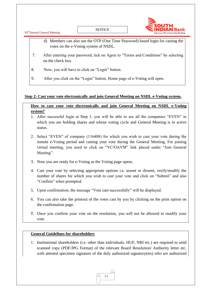![](_page_24_Figure_0.jpeg)

# **Step 2: Cast your vote electronically and join General Meeting on NSDL e-Voting system.**

# **How to cast your vote electronically and join General Meeting on NSDL e-Voting system?**

- 1. After successful login at Step 1, you will be able to see all the companies "EVEN" in which you are holding shares and whose voting cycle and General Meeting is in active status.
- 2. Select "EVEN" of company (116408) for which you wish to cast your vote during the remote e-Voting period and casting your vote during the General Meeting. For joining virtual meeting, you need to click on "VC/OAVM" link placed under "Join General Meeting".
- 3. Now you are ready for e-Voting as the Voting page opens.
- 4. Cast your vote by selecting appropriate options i.e. assent or dissent, verify/modify the number of shares for which you wish to cast your vote and click on "Submit" and also "Confirm" when prompted.
- 5. Upon confirmation, the message "Vote cast successfully" will be displayed.
- 6. You can also take the printout of the votes cast by you by clicking on the print option on the confirmation page.
- **7.** Once you confirm your vote on the resolution, you will not be allowed to modify your vote.

# **General Guidelines for shareholders**

1. Institutional shareholders (i.e. other than individuals, HUF, NRI etc.) are required to send scanned copy (PDF/JPG Format) of the relevant Board Resolution/ Authority letter etc. with attested specimen signature of the duly authorized signatory(ies) who are authorized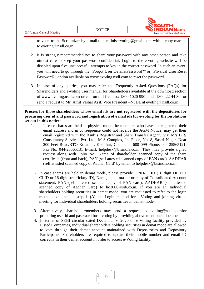93rdAnnual General Meeting

![](_page_25_Picture_2.jpeg)

to vote, to the Scrutinizer by e-mail to scrutiniservoting@gmail.com with a copy marked to [evoting@nsdl.co.in.](mailto:evoting@nsdl.co.in)

- 2. It is strongly recommended not to share your password with any other person and take utmost care to keep your password confidential. Login to the e-voting website will be disabled upon five unsuccessful attempts to key in the correct password. In such an event, you will need to go through the ["Forgot User Details/Password?"](https://www.evoting.nsdl.com/eVotingWeb/commonhtmls/NewUser.jsp) or ["Physical User Reset](https://www.evoting.nsdl.com/eVotingWeb/commonhtmls/PhysicalUser.jsp)  [Password?"](https://www.evoting.nsdl.com/eVotingWeb/commonhtmls/PhysicalUser.jsp) option available on www.evoting.nsdl.com to reset the password.
- 3. In case of any queries, you may refer the Frequently Asked Questions (FAQs) for Shareholders and e-voting user manual for Shareholders available at the download section of [www.evoting.nsdl.com](http://www.evoting.nsdl.com/) or call on toll free no.: 1800 1020 990 and 1800 22 44 30 or send a request to Mr. Amit Vishal Asst. Vice President –NSDL at [evoting@nsdl.co.in](mailto:evoting@nsdl.co.in)

**Process for those shareholders whose email ids are not registered with the depositories for procuring user id and password and registration of e mail ids for e-voting for the resolutions set out in this notice**:

- 1. In case shares are held in physical mode the members who have not registered their email address and in consequence could not receive the AGM Notice, may get their email registered with the Bank"s Registrar and Share Transfer Agent, viz. M/s BTS Consultancy Services Pvt. Ltd., M S Complex, 1st Floor, No. 8, Sastri Nagar, Near 200 Feet Road/RTO Kolathur, Kolathur, Chennai – 600 099 Phone: 044-25565121, Fax No. 044-25565131 E-mail: helpdesk@btsindia.co.in. They may provide signed request along with Folio No., Name of shareholder, scanned copy of the share certificate (front and back), PAN (self attested scanned copy of PAN card), AADHAR (self attested scanned copy of Aadhar Card) by email to helpdesk@btsindia.co.in.
	- 2. In case shares are held in demat mode, please provide DPID-CLID (16 digit DPID + CLID or 16 digit beneficiary ID), Name, client master or copy of Consolidated Account statement, PAN (self attested scanned copy of PAN card), AADHAR (self attested scanned copy of Aadhar Card) to ho2006@sib.co.in. If you are an Individual shareholders holding securities in demat mode, you are requested to refer to the login method explained at **step 1 (A**) i.e. Login method for e-Voting and joining virtual meeting for Individual shareholders holding securities in demat mode.
	- 3. Alternatively, shareholder/members may send a request to [evoting@nsdl.co.inf](mailto:evoting@nsdl.co.in)or procuring user id and password for e-voting by providing above mentioned documents.
	- 4. In terms of SEBI circular dated December 9, 2020 on e-Voting facility provided by Listed Companies, Individual shareholders holding securities in demat mode are allowed to vote through their demat account maintained with Depositories and Depository Participants. Shareholders are required to update their mobile number and email ID correctly in their demat account in order to access e-Voting facility.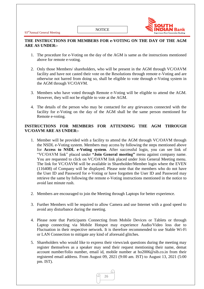![](_page_26_Picture_2.jpeg)

# **THE INSTRUCTIONS FOR MEMBERS FOR e-VOTING ON THE DAY OF THE AGM ARE AS UNDER:-**

- 1. The procedure for e-Voting on the day of the AGM is same as the instructions mentioned above for remote e-voting.
- 2. Only those Members/ shareholders, who will be present in the AGM through VC/OAVM facility and have not casted their vote on the Resolutions through remote e-Voting and are otherwise not barred from doing so, shall be eligible to vote through e-Voting system in the AGM through VC/OAVM.
- 3. Members who have voted through Remote e-Voting will be eligible to attend the AGM. However, they will not be eligible to vote at the AGM.
- 4. The details of the person who may be contacted for any grievances connected with the facility for e-Voting on the day of the AGM shall be the same person mentioned for Remote e-voting.

# **INSTRUCTIONS FOR MEMBERS FOR ATTENDING THE AGM THROUGH VC/OAVM ARE AS UNDER:-**

- 1. Member will be provided with a facility to attend the AGM through VC/OAVM through the NSDL e-Voting system. Members may access by following the steps mentioned above for **Access to NSDL e-Voting system**. After successful login, you can see link of "VC/OAVM link" placed under **"Join General meeting"** menu against company name. You are requested to click on VC/OAVM link placed under Join General Meeting menu. The link for VC/OAVM will be available in Shareholder/Member login where the EVEN (116408) of Company will be displayed. Please note that the members who do not have the User ID and Password for e-Voting or have forgotten the User ID and Password may retrieve the same by following the remote e-Voting instructions mentioned in the notice to avoid last minute rush.
- 2. Members are encouraged to join the Meeting through Laptops for better experience.
- 3. Further Members will be required to allow Camera and use Internet with a good speed to avoid any disturbance during the meeting.
- 4. Please note that Participants Connecting from Mobile Devices or Tablets or through Laptop connecting via Mobile Hotspot may experience Audio/Video loss due to Fluctuation in their respective network. It is therefore recommended to use Stable Wi-Fi or LAN Connection to mitigate any kind of aforesaid glitches.
- 5. Shareholders who would like to express their views/ask questions during the meeting may register themselves as a speaker may send their request mentioning their name, demat account number/folio number, email id, mobile number at ho2006@sib.co.in from their registered email address. From August 09, 2021 (9:00 am. IST) to August 13, 2021 (5:00 pm. IST).

![](_page_26_Picture_14.jpeg)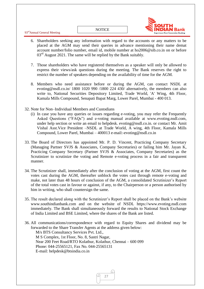93rdAnnual General Meeting

**NOTICE** 

![](_page_27_Picture_2.jpeg)

- 6. Shareholders seeking any information with regard to the accounts or any matters to be placed at the AGM may send their queries in advance mentioning their name demat account number/folio number, email id, mobile number at ho2006@sib.co.in on or before  $03<sup>rd</sup>$  August 2021. The same will be replied by the Bank suitably.
- 7. Those shareholders who have registered themselves as a speaker will only be allowed to express their views/ask questions during the meeting. The Bank reserves the right to restrict the number of speakers depending on the availability of time for the AGM.
- 8. Members who need assistance before or during the AGM, can contact NSDL at evoting@nsdl.co.in/ 1800 1020 990 /1800 224 430/ alternatively, the members can also write to, National Securities Depository Limited, Trade World, 'A' Wing, 4th Floor, Kamala Mills Compound, Senapati Bapat Marg, Lower Parel, Mumbai - 400 013.
- 32. Note for Non–Individual Members and Custodians
	- (i) In case you have any queries or issues regarding e-voting, you may refer the Frequently Asked Questions ("FAQs") and e-voting manual available at [www.evoting.nsdl.com,](http://www.evoting.nsdl.com/) under help section or write an email to helpdesk. [evoting@nsdl.co.in.](mailto:evoting@nsdl.co.in) or contact Mr. Amit Vishal Asst.Vice President –NSDL at Trade World, A wing, 4th Floor, Kamala Mills Compound, Lower Parel, Mumbai – 400013 e-mail:-evoting@nsdl.co.in
- 33. The Board of Directors has appointed Mr. P. D. Vincent, Practicing Company Secretary (Managing Partner SVJS & Associates, Company Secretaries) or failing him Mr. Jayan K, Practicing Company Secretary (Partner SVJS & Associates, Company Secretaries) as the Scrutinizer to scrutinize the voting and Remote e-voting process in a fair and transparent manner.
- 34. The Scrutinizer shall, immediately after the conclusion of voting at the AGM, first count the votes cast during the AGM, thereafter unblock the votes cast through remote e-voting and make, not later than 48 hours of conclusion of the AGM, a consolidated Scrutinizer"s Report of the total votes cast in favour or against, if any, to the Chairperson or a person authorised by him in writing, who shall countersign the same.
- 35. The result declared along with the Scrutinizer"s Report shall be placed on the Bank"s website www.southindianbank.com and on the website of NSDL https://www.evoting.nsdl.com immediately. The Bank shall simultaneously forward the results to National Stock Exchange of India Limited and BSE Limited, where the shares of the Bank are listed.
- 36. All communications/correspondence with regard to Equity Shares and dividend may be forwarded to the Share Transfer Agents at the address given below: M/s BTS Consultancy Services Pvt. Ltd., M S Complex, 1st Floor, No. 8, Sastri Nagar, Near 200 Feet Road/RTO Kolathur, Kolathur, Chennai – 600 099 Phone: 044-25565121, Fax No. 044-25565131 E-mail: helpdesk@btsindia.co.in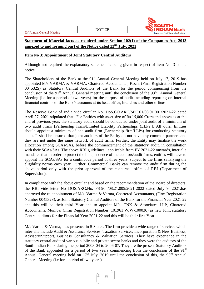![](_page_28_Picture_2.jpeg)

# **Statement of Material facts as required under Section 102(1) of the Companies Act, 2013 annexed to and forming part of the Notice dated 22nd July, 2021**

#### **Item No 3: Appointment of Joint Statutory Central Auditors**

Although not required the explanatory statement is being given in respect of item No. 3 of the notice.

The Shareholders of the Bank at the 91<sup>st</sup> Annual General Meeting held on July 17, 2019 has appointed M/s VARMA & VARMA, Chartered Accountants , Kochi (Firm Registration Number 004532S) as Statutory Central Auditors of the Bank for the period commencing from the conclusion of the  $91<sup>st</sup>$  Annual General meeting until the conclusion of the  $93<sup>rd</sup>$  Annual General Meeting (i.e for a period of two years) for the purpose of audit including reporting on internal financial controls of the Bank"s accounts at its head office, branches and other offices.

The Reserve Bank of India vide circular No. DoS.CO.ARG/SEC.01/08.91.001/2021-22 dated April 27, 2021 stipulated that "For Entities with asset size of Rs.15,000 Crore and above as at the end of previous year, the statutory audit should be conducted under joint audit of a minimum of two audit firms [Partnership firms/Limited Liability Partnerships (LLPs)]. All other Entities should appoint a minimum of one audit firm (Partnership firm/LLPs) for conducting statutory audit. It shall be ensured that joint auditors of the Entity do not have any common partners and they are not under the same network of audit firms. Further, the Entity may finalise the work allocation among SCAs/SAs, before the commencement of the statutory audit, in consultation with their SCAs/SAs. The above RBI guidelines, applicable from FY 2021-22 onwards, inter alia mandates that in order to protect the independence of the auditors/audit firms, entities will have to appoint the SCAs/SAs for a continuous period of three years, subject to the firms satisfying the eligibility norms each year. Further, Commercial Banks can remove the audit firm during the above period only with the prior approval of the concerned office of RBI (Department of Supervision).

In compliance with the above circular and based on the recommendation of the Board of directors, the RBI vide letter No DOS.ARG.No. PS-90 /08.21.005/2021-2022 dated July 9, 2021,has approved the re-appointment of M/s. Varma & Varma, Chartered Accountants, (Firm Registration Number 004532S), as Joint Statutory Central Auditors of the Bank for the Financial Year 2021-22 and this will be their third Year and to appoint M/s. CNK & Associates LLP, Chartered Accountants, Mumbai (Firm Registration Number: 101961 W/W-100036) as new Joint statutory Central auditors for the Financial Year 2021-22 and this will be their first Year.

M/s Varma & Varma, has presence in 5 States. The firm provide a wide range of services which inter-alia include Audit & Assurance Services, Taxation Services, Incorporation & New Business, Advisory/Support, Business Consultancy & Valuation Services. They have experience in the statutory central audit of various public and private sector banks and they were the auditors of the South Indian Bank during the period 2003-04 to 2006-07. They are the present Statutory Auditors of the Bank appointed for a period of two years commencing from the conclusion of the  $91<sup>st</sup>$ Annual General meeting held on  $17<sup>th</sup>$  July, 2019 until the conclusion of this, the 93<sup>rd</sup> Annual General Meeting (i.e for a period of two years).

![](_page_28_Picture_10.jpeg)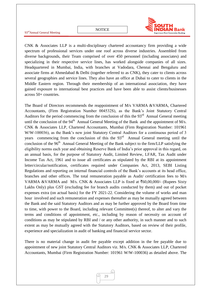![](_page_29_Picture_1.jpeg)

![](_page_29_Picture_2.jpeg)

CNK & Associates LLP is a multi-disciplinary chartered accountancy firm providing a wide spectrum of professional services under one roof across diverse industries. Assembled from diverse backgrounds, their Team comprised of over 450 personnel (including associates) and specializing in their respective service lines, has worked alongside companies of all sizes. Headquartered in Mumbai, India, with branches at Vadodara, Chennai and Bengaluru and associate firms at Ahmedabad & Delhi (together referred to as CNK), they cater to clients across several geographies and service lines. They also have an office at Dubai to cater to clients in the Middle Eastern region. Through their membership of an international association, they have gained exposure to international best practices and have been able to assist clients/businesses across 50+ countries.

The Board of Directors recommends the reappointment of M/s VARMA &VARMA, Chartered Accountants, (Firm Registration Number 004532S), as the Bank"s Joint Statutory Central Auditors for the period commencing from the conclusion of this the 93<sup>rd</sup> Annual General meeting until the conclusion of the  $94<sup>th</sup>$  Annual General Meeting of the Bank and the appointment of M/s. CNK & Associates LLP, Chartered Accountants, Mumbai (Firm Registration Number: 101961 W/W-100036), as the Bank's new joint Statutory Central Auditors for a continuous period of 3 years commencing from the conclusion of this the  $93<sup>rd</sup>$  Annual General meeting until the conclusion of the 96<sup>th</sup> Annual General Meeting of the Bank subject to the firm/LLP satisfying the eligibility norms each year and obtaining Reserve Bank of India"s prior approval in this regard, on an annual basis, for the purpose of Statutory Audit, Limited Review, LFAR, Tax Audit under Income Tax Act, 1961 and to issue all certificates as stipulated by the RBI at its appointment letter/circular/notification, certificates required under Companies Act, 2013, SEBI Listing Regulations and reporting on internal financial controls of the Bank"s accounts at its head office, branches and other offices. The total remuneration payable as Audit/ certification fees to M/s VARMA &VARMA and M/s. CNK & Associates LLP is fixed at  $\text{\textless}60,00,000/$ - (Rupees Sixty Lakhs Only) plus GST (excluding fee for branch audits conducted by them) and out of pocket expenses extra (on actual basis) for the FY 2021-22. Considering the volume of works and man hour involved and such remuneration and expenses thereafter as may be mutually agreed between the Bank and the said Statutory Auditors and as may be further approved by the Board from time to time, with power to the Board, including relevant Committee(s) thereof, to alter and vary the terms and conditions of appointment, etc., including by reason of necessity on account of conditions as may be stipulated by RBI and / or any other authority, in such manner and to such extent as may be mutually agreed with the Statutory Auditors, based on review of their profile, experience and specialization in audit of banking and financial service sector.

There is no material change in audit fee payable except addition in the fee payable due to appointment of new joint Statutory Central Auditors viz. M/s. CNK & Associates LLP, Chartered Accountants, Mumbai (Firm Registration Number: 101961 W/W-100036) as detailed above. The

![](_page_29_Picture_6.jpeg)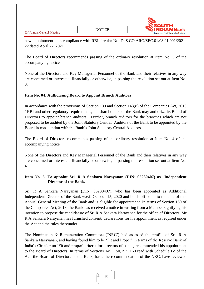93<sup>rd</sup>Annual General Meeting

![](_page_30_Picture_2.jpeg)

new appointment is in compliance with RBI circular No. DoS.CO.ARG/SEC.01/08.91.001/2021- 22 dated April 27, 2021.

The Board of Directors recommends passing of the ordinary resolution at Item No. 3 of the accompanying notice.

None of the Directors and Key Managerial Personnel of the Bank and their relatives in any way are concerned or interested, financially or otherwise, in passing the resolution set out at Item No. 3.

# **Item No. 04: Authorising Board to Appoint Branch Auditors**

In accordance with the provisions of Section 139 and Section 143(8) of the Companies Act, 2013 / RBI and other regulatory requirements, the shareholders of the Bank may authorize its Board of Directors to appoint branch auditors. Further, branch auditors for the branches which are not proposed to be audited by the Joint Statutory Central Auditors of the Bank to be appointed by the Board in consultation with the Bank"s Joint Statutory Central Auditors.

The Board of Directors recommends passing of the ordinary resolution at Item No. 4 of the accompanying notice.

None of the Directors and Key Managerial Personnel of the Bank and their relatives in any way are concerned or interested, financially or otherwise, in passing the resolution set out at Item No. 4.

# **Item No. 5. To appoint Sri. R A Sankara Narayanan (DIN: 05230407) as Independent Director of the Bank.**

Sri. R A Sankara Narayanan (DIN: 05230407), who has been appointed as Additional Independent Director of the Bank w.e.f. October 15, 2020 and holds office up to the date of this Annual General Meeting of the Bank and is eligible for appointment. In terms of Section 160 of the Companies Act, 2013, the Bank has received a notice in writing from a Member signifying his intention to propose the candidature of Sri R A Sankara Narayanan for the office of Directors. Mr R A Sankara Narayanan has furnished consent/ declarations for his appointment as required under the Act and the rules thereunder.

The Nomination & Remuneration Committee ("NRC") had assessed the profile of Sri. R A Sankara Narayanan, and having found him to be "Fit and Proper" in terms of the Reserve Bank of India"s Circular on "Fit and proper" criteria for directors of banks, recommended his appointment to the Board of Directors. In terms of Sections 149, 150,152, 160 read with Schedule IV of the Act, the Board of Directors of the Bank, basis the recommendation of the NRC, have reviewed

![](_page_30_Picture_13.jpeg)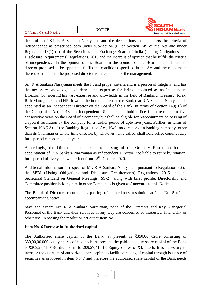![](_page_31_Picture_0.jpeg)

the profile of Sri. R A Sankara Narayanan and the declarations that he meets the criteria of independence as prescribed both under sub-section (6) of Section 149 of the Act and under Regulation 16(1) (b) of the Securities and Exchange Board of India (Listing Obligations and Disclosure Requirements) Regulations, 2015 and the Board is of opinion that he fulfils the criteria of independence. In the opinion of the Board. In the opinion of the Board, the independent director proposed to be appointed fulfils the conditions specified in the Act and the rules made there-under and that the proposed director is independent of the management.

Sri. R A Sankara Narayanan meets the fit and proper criteria and is a person of integrity, and has the necessary knowledge, experience and expertise for being appointed as an Independent Director. Considering his vast expertise and knowledge in the field of Banking, Treasury, forex, Risk Management and HR, it would be in the interest of the Bank that R A Sankara Narayanan is appointed as an Independent Director on the Board of the Bank. In terms of Section 149(10) of the Companies Act, 2013, an Independent Director shall hold office for a term up to five consecutive years on the Board of a company but shall be eligible for reappointment on passing of a special resolution by the company for a further period of upto five years. Further, in terms of Section 10A(2A) of the Banking Regulation Act, 1949, no director of a banking company, other than its Chairman or whole-time director, by whatever name called, shall hold office continuously for a period exceeding eight years.

Accordingly, the Directors recommend the passing of the Ordinary Resolution for the appointment of R A Sankara Narayanan as Independent Director, not liable to retire by rotation, for a period of five years with effect from  $15<sup>th</sup>$  October, 2020.

Additional information in respect of Mr. R A Sankara Narayanan, pursuant to Regulation 36 of the SEBI (Listing Obligations and Disclosure Requirements) Regulations, 2015 and the Secretarial Standard on General Meetings (SS-2), along with brief profile, Directorship and Committee position held by him in other Companies is given at Annexure to this Notice.

The Board of Directors recommends passing of the ordinary resolution at Item No. 5 of the accompanying notice.

Save and except Mr. R A Sankara Narayanan, none of the Directors and Key Managerial Personnel of the Bank and their relatives in any way are concerned or interested, financially or otherwise, in passing the resolution set out at Item No. 5.

# **Item No. 6 Increase in Authorised capital**

The Authorised share capital of the Bank, at present, is  $\overline{5}350.00$  Crore consisting of 350,00,00,000 equity shares of  $\bar{\tau}$ 1/- each. At present, the paid-up equity share capital of the Bank is  $\overline{209,27,41,018}$ - divided in to 209,27,41,018 Equity shares of  $\overline{51}$ - each. It is necessary to increase the quantum of authorized share capital to facilitate raising of capital through issuance of securities as proposed in item No. 7 and therefore the authorised share capital of the Bank needs

![](_page_31_Figure_11.jpeg)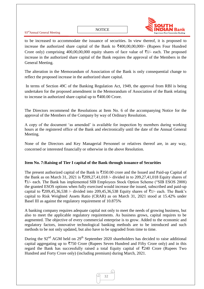93rdAnnual General Meeting

![](_page_32_Picture_2.jpeg)

to be increased to accommodate the issuance of securities. In view thereof, it is proposed to increase the authorized share capital of the Bank to  $\text{\textsterling}400,00,000/4$  (Rupees Four Hundred Crore only) comprising 400,00,00,000 equity shares of face value of  $\bar{\tau}$ 1/- each. The proposed increase in the authorized share capital of the Bank requires the approval of the Members in the General Meeting.

The alteration in the Memorandum of Association of the Bank is only consequential change to reflect the proposed increase in the authorized share capital.

In terms of Section 49C of the Banking Regulation Act, 1949, the approval from RBI is being undertaken for the proposed amendment in the Memorandum of Association of the Bank relating to increase in authorized share capital up to  $\text{\textsterling}400.00$  Crore.

The Directors recommend the Resolutions at Item No. 6 of the accompanying Notice for the approval of the Members of the Company by way of Ordinary Resolution.

A copy of the document "as amended" is available for inspection by members during working hours at the registered office of the Bank and electronically until the date of the Annual General Meeting.

None of the Directors and Key Managerial Personnel or relatives thereof are, in any way, concerned or interested financially or otherwise in the above Resolution.

# **Item No. 7:Raising of Tier I capital of the Bank through issuance of Securities**

The present authorized capital of the Bank is  $\overline{3}350.00$  crore and the Issued and Paid-up Capital of the Bank as on March 31, 2021 is  $\text{\textsterling}209,27,41,018$  /- divided in to 209,27,41,018 Equity shares of `1/- each. The Bank has implemented SIB Employees Stock Option Scheme ("SIB ESOS 2008) the granted ESOS options when fully exercised would increase the issued, subscribed and paid-up capital to  $\overline{209,45,36,538}$  /- divided into 209,45,36,538 Equity shares of  $\overline{51}$ /- each. The Bank's capital to Risk Weighted Assets Ratio (CRAR) as on March 31, 2021 stood at 15.42% under Basel III as against the regulatory requirement of 10.875%

A banking company requires adequate capital not only to meet the needs of growing business, but also to meet the applicable regulatory requirements. As business grows, capital requires to be augmented. The objective of every commercial enterprise is to grow. Added to the economic and regulatory factors, innovative technological banking methods are to be introduced and such methods to be not only updated, but also have to be upgraded from time to time.

During the  $92<sup>nd</sup>$  AGM held on  $29<sup>th</sup>$  September 2020 shareholders has decided to raise additional capital aggregating up to  $\overline{5750}$  Crore (Rupees Seven Hundred and Fifty Crore only) and in this regard the Bank has successfully raised a total Equity capital of  $\overline{\tau}$ 240 Crore (Rupees Two Hundred and Forty Crore only) (including premium) during March, 2021.

![](_page_32_Picture_13.jpeg)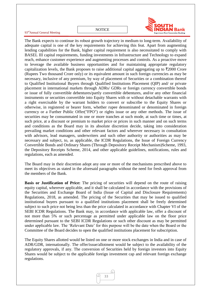#### NOTICE

#### 93<sup>rd</sup>Annual General Meeting

![](_page_33_Picture_2.jpeg)

The Bank expects to continue its robust growth trajectory in medium to long-term. Availability of adequate capital is one of the key requirements for achieving this feat. Apart from augmenting lending capabilities for the Bank, higher capital requirement is also necessitated to comply with BASEL III capital requirements, funding investments in Infrastructure and Technology to expand reach, enhance customer experience and augmenting processes and controls. As a proactive move to leverage the available business opportunities and for maintaining appropriate regulatory capitalization levels, the Bank proposes to raise additional capital aggregating up to  $\overline{\tau}2000$  Crore (Rupees Two thousand Crore only) or its equivalent amount in such foreign currencies as may be necessary, inclusive of any premium, by way of placement of Securities or a combination thereof to Qualified Institutional Buyers through Qualified Institutions Placement (QIP) and/ or private placement in international markets through ADRs/ GDRs or foreign currency convertible bonds or issue of fully convertible debentures/partly convertible debentures, and/or any other financial instruments or securities convertible into Equity Shares with or without detachable warrants with a right exercisable by the warrant holders to convert or subscribe to the Equity Shares or otherwise, in registered or bearer form, whether rupee denominated or denominated in foreign currency or a Further Public Offer("FPO") or rights issue or any other methods. The issue of securities may be consummated in one or more tranches at such mode, at such time or times, at such price, at a discount or premium to market price or prices in such manner and on such terms and conditions as the Board may in its absolute discretion decide, taking into consideration prevailing market conditions and other relevant factors and wherever necessary in consultation with advisors, lead managers, underwriters and such other authority or authorities as may be necessary and subject, to, as applicable, the ICDR Regulations, the Issue of Foreign Currency Convertible Bonds and Ordinary Shares (Through Depository Receipt Mechanism)Scheme, 1993, the Depository Receipts Scheme, 2014, and other applicable guidelines, notifications, rules and regulations, each as amended.

The Board may in their discretion adopt any one or more of the mechanisms prescribed above to meet its objectives as stated in the aforesaid paragraphs without the need for fresh approval from the members of the Bank.

**Basis or Justification of Price:** The pricing of securities will depend on the route of raising equity capital, wherever applicable, and it shall be calculated in accordance with the provisions of the Securities and Exchange Board of India (Issue of Capital and Disclosure Requirements) Regulations, 2018, as amended. The pricing of the Securities that may be issued to qualified institutional buyers pursuant to a qualified institutions placement shall be freely determined subject to such price not being less than the price calculated in accordance with Chapter VI of the SEBI ICDR Regulations. The Bank may, in accordance with applicable law, offer a discount of not more than 5% or such percentage as permitted under applicable law on the floor price determined pursuant to the SEBI ICDR Regulations or such other discount as may be permitted under applicable law. The "Relevant Date" for this purpose will be the date when the Board or the Committee of the Board decides to open the qualified institutions placement for subscription.

The Equity Shares allotted would be listed on one or more stock exchanges in India and in case of ADR/GDR, internationally. The offer/issue/allotment would be subject to the availability of the regulatory approvals, if any. The conversion of Securities held by foreign investors into Equity Shares would be subject to the applicable foreign investment cap and relevant foreign exchange regulations.

![](_page_33_Picture_7.jpeg)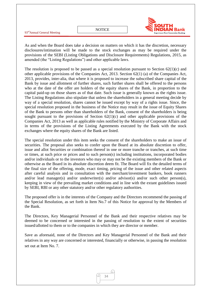|                                         |        | ТН                                                          |  |
|-----------------------------------------|--------|-------------------------------------------------------------|--|
| 93 <sup>rd</sup> Annual General Meeting | NOTICE | <b>IN Bank</b><br><b>Experience Next Generation Banking</b> |  |

As and when the Board does take a decision on matters on which it has the discretion, necessary disclosures/intimation will be made to the stock exchanges as may be required under the provisions of the SEBI (Listing Obligations and Disclosure Requirements) Regulations, 2015, as amended (the "Listing Regulations") and other applicable laws.

The resolution is proposed to be passed as a special resolution pursuant to Section  $62(1)(c)$  and other applicable provisions of the Companies Act, 2013. Section 62(1) (a) of the Companies Act, 2013, provides, inter-alia, that where it is proposed to increase the subscribed share capital of the Bank by issue and allotment of further shares, such further shares shall be offered to the persons who at the date of the offer are holders of the equity shares of the Bank, in proportion to the capital paid-up on those shares as of that date. Such issue is generally known as the rights issue. The Listing Regulations also stipulate that unless the shareholders in a general meeting decide by way of a special resolution, shares cannot be issued except by way of a rights issue. Since, the special resolution proposed in the business of the Notice may result in the issue of Equity Shares of the Bank to persons other than shareholders of the Bank, consent of the shareholders is being sought pursuant to the provisions of Section  $62(1)(c)$  and other applicable provisions of the Companies Act, 2013 as well as applicable rules notified by the Ministry of Corporate Affairs and in terms of the provisions of the Listing Agreements executed by the Bank with the stock exchanges where the equity shares of the Bank are listed.

The special resolution under this item seeks the consent of the shareholders to make an issue of securities. The proposal also seeks to confer upon the Board at its absolute discretion to offer, issue and allot Securities or combination thereof in one or more tranche or tranches, at such time or times, at such price or prices and to such person(s) including institutions, incorporated bodies and/or individuals or to the investors who may or may not be the existing members of the Bank or otherwise as the Board in its absolute discretion deem fit. The Board will fix the detailed terms of the final size of the offering, mode, exact timing, pricing of the issue and other related aspects after careful analysis and in consultation with the merchant/investment bankers, book runners and/or lead manager(s) and/or underwriter(s) and/or advisor(s) and/or such other person(s), keeping in view of the prevailing market conditions and in line with the extant guidelines issued by SEBI, RBI or any other statutory and/or other regulatory authorities.

The proposed offer is in the interests of the Company and the Directors recommend the passing of the Special Resolution, as set forth in Item No.7 of this Notice for approval by the Members of the Bank.

The Directors, Key Managerial Personnel of the Bank and their respective relatives may be deemed to be concerned or interested in the passing of resolution to the extent of securities issued/allotted to them or to the companies in which they are director or member.

Save as aforesaid, none of the Directors and Key Managerial Personnel of the Bank and their relatives in any way are concerned or interested, financially or otherwise, in passing the resolution set out at Item No. 7.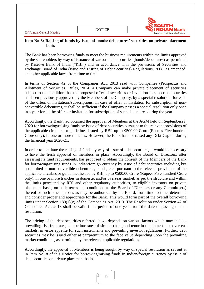**NOTICE** 

![](_page_35_Picture_2.jpeg)

#### **Item No 8: Raising of funds by issue of bonds/ debentures/ securities on private placement basis**

The Bank has been borrowing funds to meet the business requirements within the limits approved by the shareholders by way of issuance of various debt securities (bonds/debentures) as permitted by Reserve Bank of India ("RBI") and in accordance with the provisions of Securities and Exchange Board of India (Issue and Listing of Debt Securities) Regulations, 2008, as amended, and other applicable laws, from time to time.

In terms of Section 42 of the Companies Act, 2013 read with Companies (Prospectus and Allotment of Securities) Rules, 2014, a Company can make private placement of securities subject to the condition that the proposed offer of securities or invitation to subscribe securities has been previously approved by the Members of the Company, by a special resolution, for each of the offers or invitations/subscriptions. In case of offer or invitation for subscription of nonconvertible debentures, it shall be sufficient if the Company passes a special resolution only once in a year for all the offers or invitation for subscription of such debentures during the year.

Accordingly, the Bank had obtained the approval of Members at the AGM held on September29, 2020 for borrowing/raising funds by issue of debt securities pursuant to the relevant provisions of the applicable circulars or guidelines issued by RBI, up to  $\overline{500.00}$  Crore (Rupees Five hundred Crore only), in one or more tranches. However, the Bank has not raised any Debt Capital during the financial year 2020-21.

In order to facilitate the raising of funds by way of issue of debt securities, it would be necessary to have the fresh approval of members in place. Accordingly, the Board of Directors, after assessing its fund requirements, has proposed to obtain the consent of the Members of the Bank for borrowing/raising funds in Indian/foreign currency by issue of debt securities including but not limited to non-convertible debentures, bonds, etc., pursuant to the relevant provisions of the applicable circulars or guidelines issued by RBI, up to  $\overline{5}500.00$  Crore (Rupees Five hundred Crore only), in one or more tranches in domestic and/or overseas market, as per the structure and within the limits permitted by RBI and other regulatory authorities, to eligible investors on private placement basis, on such terms and conditions as the Board of Directors or any Committee(s) thereof or such other persons as may be authorized by the Board, from time to time, determine and consider proper and appropriate for the Bank. This would form part of the overall borrowing limits under Section 180(1)(c) of the Companies Act, 2013. The Resolution under Section 42 of Companies Act, 2013 shall be valid for a period of one year from the date of passing of this resolution.

The pricing of the debt securities referred above depends on various factors which may include prevailing risk free rates, competitor rates of similar rating and tenor in the domestic or overseas markets, investor appetite for such instruments and prevailing investor regulations. Further, debt securities may be issued either at par/premium to the face value depending upon the prevailing market conditions, as permitted by the relevant applicable regulations.

Accordingly, the approval of Members is being sought by way of special resolution as set out at in Item No. 8 of this Notice for borrowing/raising funds in Indian/foreign currency by issue of debt securities on private placement basis.

![](_page_35_Picture_10.jpeg)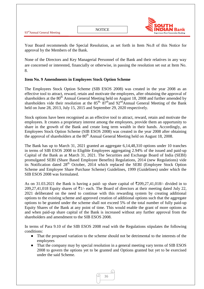Your Board recommends the Special Resolution, as set forth in Item No.8 of this Notice for approval by the Members of the Bank.

None of the Directors and Key Managerial Personnel of the Bank and their relatives in any way are concerned or interested, financially or otherwise, in passing the resolution set out at Item No. 8.

# **Item No. 9 Amendments in Employees Stock Option Scheme**

The Employees Stock Option Scheme (SIB ESOS 2008) was created in the year 2008 as an effective tool to attract, reward, retain and motivate the employees, after obtaining the approval of shareholders at the  $80<sup>th</sup>$  Annual General Meeting held on August 18, 2008 and further amended by shareholders vide their resolution at the  $85<sup>th</sup>$ ,  $87<sup>th</sup>$  and  $92<sup>nd</sup>$  Annual General Meeting of the Bank held on June 28, 2013, July 15, 2015 and September 29, 2020 respectively.

Stock options have been recognised as an effective tool to attract, reward, retain and motivate the employees. It creates a proprietary interest among the employees, provide them an opportunity to share in the growth of the Bank and create long term wealth in their hands. Accordingly, an Employees Stock Option Scheme (SIB ESOS 2008) was created in the year 2008 after obtaining the approval of shareholders at the  $80<sup>th</sup>$  Annual General Meeting held on August 18, 2008.

The Bank has up to March 31, 2021 granted an aggregate 6,14,48,310 options under 10 tranches in terms of SIB ESOS 2008 to Eligible Employees aggregating 2.94% of the issued and paid-up Capital of the Bank as at March 31, 2021. The Securities and Exchange Board of India (SEBI) promulgated SEBI (Share Based Employee Benefits) Regulations, 2014 (new Regulations) vide its Notification dated 28<sup>th</sup> October, 2014 which replaced the SEBI (Employee Stock Option Scheme and Employee Share Purchase Scheme) Guidelines, 1999 (Guidelines) under which the SIB ESOS 2008 was formulated.

As on 31.03.2021 the Bank is having a paid- up share capital of  $\overline{2}209,27,41,018/$ - divided in to 209,27,41,018 Equity shares of  $\bar{\tau}1$ /- each. The Board of directors at their meeting dated July 22, 2021 deliberated on the need to continue with this rewarding system by creating additional options to the existing scheme and approved creation of additional options such that the aggregate options to be granted under the scheme shall not exceed 5% of the total number of fully paid-up Equity Shares of the Bank at any point of time. This would enable the grant of more options as and when paid-up share capital of the Bank is increased without any further approval from the shareholders and amendment to the SIB ESOS 2008.

In terms of Para 9.10 of the SIB ESOS 2008 read with the Regulations stipulates the following conditions:

- That the proposed variation to the scheme should not be detrimental to the interests of the employees
- That the company may by special resolution in a general meeting vary terms of SIB ESOS 2008 to govern the options yet to be granted and Options granted but yet to be exercised under the said Scheme.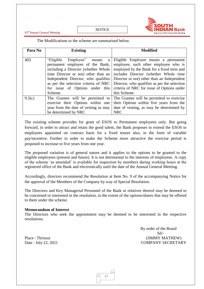93rdAnnual General Meeting

**NOTICE** 

![](_page_37_Picture_2.jpeg)

The Modifications to the scheme are summarised below.

| Para No | <b>Existing</b>                                                                                                                                                                                                                                                          | <b>Modified</b>                                                                                                                                                                                                                                                                                               |
|---------|--------------------------------------------------------------------------------------------------------------------------------------------------------------------------------------------------------------------------------------------------------------------------|---------------------------------------------------------------------------------------------------------------------------------------------------------------------------------------------------------------------------------------------------------------------------------------------------------------|
| 4(f)    | "Eligible"<br>Employee"<br>means<br>a<br>permanent employee of the Bank,<br>including a Director (whether Whole<br>time Director or not) other than an<br>Independent Director, who qualifies<br>as per the selection criteria of NRC<br>for issue of Options under this | Eligible Employee means a permanent<br>employee, such other employee who is<br>employed by the Bank for a fixed term and<br>includes Director (whether Whole time<br>Director or not) other than an Independent<br>Director, who qualifies as per the selection<br>criteria of NRC for issue of Options under |
|         | Scheme.                                                                                                                                                                                                                                                                  | this Scheme.                                                                                                                                                                                                                                                                                                  |
| 9.5(c)  | The Grantee will be permitted to<br>exercise their Options within one<br>year from the date of vesting as may<br>be determined by NRC                                                                                                                                    | The Grantee will be permitted to exercise<br>their Options within five years from the<br>date of vesting, as may be determined by<br><b>NRC</b>                                                                                                                                                               |

The existing scheme provides for grant of ESOS to Permanent employees only. But going forward, in order to attract and retain the good talent, the Bank proposes to extend the ESOS to employees appointed on contract basis for a fixed tenure also, in the form of variable pay/incentive. Further in order to make the Scheme more attractive the exercise period is proposed to increase to five years from one year.

The proposed variation is of general nature and it applies to the options to be granted to the eligible employees (present and future). It is not detrimental to the interests of employees. A copy of the scheme "as amended" is available for inspection by members during working hours at the registered office of the Bank and electronically until the date of the Annual General Meeting.

Accordingly, directors recommend the Resolution at Item No. 9 of the accompanying Notice for the approval of the Members of the Company by way of Special Resolution.

The Directors and Key Managerial Personnel of the Bank or relatives thereof may be deemed to be concerned or interested in the resolution, to the extent of the options/shares that may be offered to them under the scheme.

#### **Memorandum of Interest**

The Directors who seek the appointment may be deemed to be interested in the respective resolutions.

 By order of the Board Sd/- Place : Thrissur (JIMMY MATHEW) Date : July 22, 2021 COMPANY SECRETARY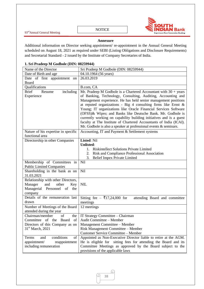![](_page_38_Picture_0.jpeg)

#### **Annexure**

Additional information on Director seeking appointment/ re-appointment in the Annual General Meeting scheduled on August 18, 2021 as required under SEBI (Listing Obligations and Disclosure Requirements) and Secretarial Standard - 2 issued by the Institute of Company Secretaries of India.

#### **1. Sri Pradeep M Godbole (DIN: 08259944)**

| Name of the Director                                           | Sri Pradeep M Godbole (DIN: 08259944)                                                                                                |  |
|----------------------------------------------------------------|--------------------------------------------------------------------------------------------------------------------------------------|--|
| Date of Birth and age                                          | 04.10.1964 (56 years)                                                                                                                |  |
| Date of first appointment on                                   | 26.03.2019                                                                                                                           |  |
| Board                                                          |                                                                                                                                      |  |
| Qualifications                                                 | B.com, CA                                                                                                                            |  |
| including<br><b>Brief</b><br>Resume                            | Mr. Pradeep M Godbole is a Chartered Accountant with $30 + \text{years}$                                                             |  |
| Experience                                                     | of Banking, Technology, Consulting, Auditing, Accounting and                                                                         |  |
|                                                                | Management experience. He has held senior management positions                                                                       |  |
|                                                                | at reputed organizations - Big 4 consulting firms like Ernst $\&$<br>Young; IT organizations like Oracle Financial Services Software |  |
|                                                                | (OFSS)& Wipro; and Banks like Deutsche Bank. Mr. Godbole is                                                                          |  |
|                                                                | currently working on capability building initiatives and is a guest                                                                  |  |
|                                                                | faculty at The Institute of Chartered Accountants of India (ICAI).                                                                   |  |
|                                                                | Mr. Godbole is also a speaker at professional events & seminars.                                                                     |  |
| Nature of his expertise in specific                            | Accounting, IT and Payment & Settlement systems                                                                                      |  |
| functional area                                                |                                                                                                                                      |  |
| Directorship in other Companies                                | Listed: Nil                                                                                                                          |  |
|                                                                | <b>Unlisted:</b>                                                                                                                     |  |
|                                                                | <b>Riskintellect Solutions Private Limited</b><br>1.                                                                                 |  |
|                                                                | Risk and Compliance Professional Association<br>2.                                                                                   |  |
|                                                                | <b>Belief Impex Private Limited</b><br>3.<br><b>Nil</b>                                                                              |  |
| Membership of Committees in<br><b>Public Limited Companies</b> |                                                                                                                                      |  |
| Shareholding in the bank as on                                 | Nil                                                                                                                                  |  |
| 31.03.2021                                                     |                                                                                                                                      |  |
| Relationship with other Directors,                             |                                                                                                                                      |  |
| Manager<br>other<br>and<br>Key                                 | <b>NIL</b>                                                                                                                           |  |
| Managerial Personnel of the                                    |                                                                                                                                      |  |
| company                                                        |                                                                                                                                      |  |
| Details of the remuneration last                               | Sitting fee – ₹17,24,000 for<br>attending Board and committee                                                                        |  |
| drawn                                                          | meetings                                                                                                                             |  |
| Number of Meetings of the Board                                | 12 meetings                                                                                                                          |  |
| attended during the year<br>Chairman/member<br>of              |                                                                                                                                      |  |
| Committee of the Board of Audit Committee – Member             | the $\vert$ IT Strategy Committee – Chairman                                                                                         |  |
| Directors of this Company as on                                | Management Committee – Member                                                                                                        |  |
| 31 <sup>st</sup> March, 2021                                   | Risk Management Committee - Member                                                                                                   |  |
|                                                                | Customer Service Committee - Member                                                                                                  |  |
| conditions<br>of<br>Terms<br>and                               | Appointed as Non-Executive Director liable to retire at the AGM.                                                                     |  |
| appointment/<br>reappointment                                  | He is eligible for sitting fees for attending the Board and its                                                                      |  |
| including remuneration                                         | Committee Meetings as approved by the Board subject to the                                                                           |  |
|                                                                | provisions of the applicable laws                                                                                                    |  |

h.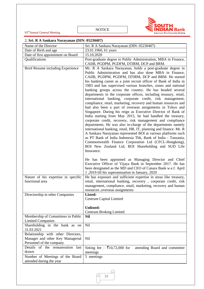![](_page_39_Picture_0.jpeg)

93<sup>rd</sup>Annual General Meeting

NOTICE

# 2**. Sri. R A Sankara Narayanan (DIN: 05230407)**

| Name of the Director                                                                               | Sri. R A Sankara Narayanan (DIN: 05230407)                                                                                                                                                                                                                                                                                                                                                                                                                                                                                                                                                                                                                                                                                                                                                                                                                                                                                                                                                                                                                                                                                                                                                                                                                                                              |  |
|----------------------------------------------------------------------------------------------------|---------------------------------------------------------------------------------------------------------------------------------------------------------------------------------------------------------------------------------------------------------------------------------------------------------------------------------------------------------------------------------------------------------------------------------------------------------------------------------------------------------------------------------------------------------------------------------------------------------------------------------------------------------------------------------------------------------------------------------------------------------------------------------------------------------------------------------------------------------------------------------------------------------------------------------------------------------------------------------------------------------------------------------------------------------------------------------------------------------------------------------------------------------------------------------------------------------------------------------------------------------------------------------------------------------|--|
| Date of Birth and age                                                                              | 23.01.1960, 61 years                                                                                                                                                                                                                                                                                                                                                                                                                                                                                                                                                                                                                                                                                                                                                                                                                                                                                                                                                                                                                                                                                                                                                                                                                                                                                    |  |
| Date of first appointment on Board                                                                 | 15.10.2020                                                                                                                                                                                                                                                                                                                                                                                                                                                                                                                                                                                                                                                                                                                                                                                                                                                                                                                                                                                                                                                                                                                                                                                                                                                                                              |  |
| Qualifications                                                                                     | Post-graduate degree in Public Administration, MBA in Finance,<br>CAIIB, PGDPM, PGDFM, DTIRM, DCP and BRM.                                                                                                                                                                                                                                                                                                                                                                                                                                                                                                                                                                                                                                                                                                                                                                                                                                                                                                                                                                                                                                                                                                                                                                                              |  |
| Brief Resume including Experience                                                                  | Mr. R A Sankara Narayanan, holds a post-graduate degree in<br>Public Administration and has also done MBA in Finance,<br>CAIIB, PGDPM, PGDFM, DTIRM, DCP and BRM. He started<br>his banking career as a joint recruit officer of Bank of India in<br>1983 and has supervised various branches, zones and national<br>banking groups across the country. He has headed several<br>departments in the corporate offices, including treasury, retail,<br>international banking, corporate credit, risk management,<br>compliance, retail, marketing, recovery and human resources and<br>had also been a part of overseas assignments in Tokyo and<br>Singapore. During his reign as Executive Director of Bank of<br>India starting from May 2015, he had handled the treasury,<br>corporate credit, recovery, risk management and compliance<br>departments. He was also in-charge of the departments namely<br>international banking, retail, HR, IT, planning and finance. Mr. R<br>A Sankara Narayanan represented BOI at various platforms such<br>as PT Bank of India Indonesia Tbk, Bank of India - Tanzania,<br>Commonwealth Finance Corporation Ltd (CFCL-Hongkong),<br>BOI New Zealand Ltd, BOI Shareholding and SUD Life<br>Insurance.<br>He has been appointed as Managing Director and Chief |  |
|                                                                                                    | Executive Officer of Vijaya Bank in September 2017. He has<br>been designated as the MD and CEO of Canara Bank w.e.f. April<br>1,2019 till his superannuation in January, 2020                                                                                                                                                                                                                                                                                                                                                                                                                                                                                                                                                                                                                                                                                                                                                                                                                                                                                                                                                                                                                                                                                                                          |  |
| Nature of his expertise in specific<br>functional area                                             | He has exposure and sufficient expertise in areas like treasury,<br>retail, international banking, recovery, corporate credit, risk<br>management, compliance, retail, marketing, recovery and human<br>resources ,overseas assignments                                                                                                                                                                                                                                                                                                                                                                                                                                                                                                                                                                                                                                                                                                                                                                                                                                                                                                                                                                                                                                                                 |  |
| Directorship in other Companies                                                                    | Listed:<br>Centrum Capital Limited<br><b>Unlisted:</b><br><b>Centrum Broking Limited</b>                                                                                                                                                                                                                                                                                                                                                                                                                                                                                                                                                                                                                                                                                                                                                                                                                                                                                                                                                                                                                                                                                                                                                                                                                |  |
| Membership of Committees in Public<br><b>Limited Companies</b>                                     | <b>Nil</b>                                                                                                                                                                                                                                                                                                                                                                                                                                                                                                                                                                                                                                                                                                                                                                                                                                                                                                                                                                                                                                                                                                                                                                                                                                                                                              |  |
| Shareholding in the bank as on<br>31.03.2021                                                       | Nil                                                                                                                                                                                                                                                                                                                                                                                                                                                                                                                                                                                                                                                                                                                                                                                                                                                                                                                                                                                                                                                                                                                                                                                                                                                                                                     |  |
| Relationship with other Directors,<br>Manager and other Key Managerial<br>Personnel of the company | Nil                                                                                                                                                                                                                                                                                                                                                                                                                                                                                                                                                                                                                                                                                                                                                                                                                                                                                                                                                                                                                                                                                                                                                                                                                                                                                                     |  |
| Details of the remuneration last<br>drawn                                                          | Sitting fee – ₹10,72,000 for<br>attending Board and committee<br>meetings                                                                                                                                                                                                                                                                                                                                                                                                                                                                                                                                                                                                                                                                                                                                                                                                                                                                                                                                                                                                                                                                                                                                                                                                                               |  |
| Number of Meetings of the Board<br>attended during the year                                        | 5 meetings                                                                                                                                                                                                                                                                                                                                                                                                                                                                                                                                                                                                                                                                                                                                                                                                                                                                                                                                                                                                                                                                                                                                                                                                                                                                                              |  |

Q L 39